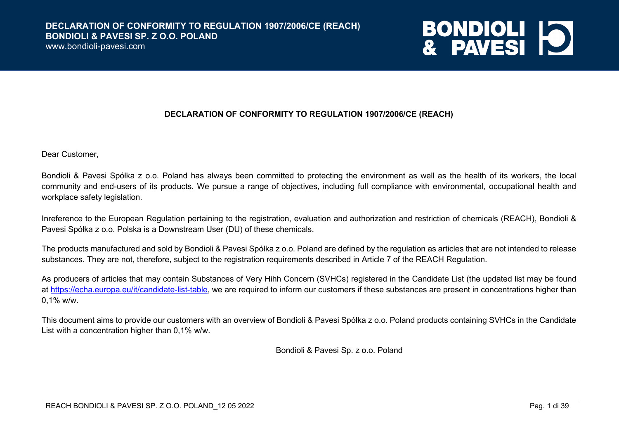www.bondioli-pavesi.com



#### **DECLARATION OF CONFORMITY TO REGULATION 1907/2006/CE (REACH)**

Dear Customer,

Bondioli & Pavesi Spółka z o.o. Poland has always been committed to protecting the environment as well as the health of its workers, the local community and end-users of its products. We pursue a range of objectives, including full compliance with environmental, occupational health and workplace safety legislation.

Inreference to the European Regulation pertaining to the registration, evaluation and authorization and restriction of chemicals (REACH), Bondioli & Pavesi Spółka z o.o. Polska is a Downstream User (DU) of these chemicals.

The products manufactured and sold by Bondioli & Pavesi Spółka z o.o. Poland are defined by the regulation as articles that are not intended to release substances. They are not, therefore, subject to the registration requirements described in Article 7 of the REACH Regulation.

As producers of articles that may contain Substances of Very Hihh Concern (SVHCs) registered in the Candidate List (the updated list may be found at https://echa.europa.eu/it/candidate-list-table, we are required to inform our customers if these substances are present in concentrations higher than 0,1% w/w.

This document aims to provide our customers with an overview of Bondioli & Pavesi Spółka z o.o. Poland products containing SVHCs in the Candidate List with a concentration higher than 0,1% w/w.

Bondioli & Pavesi Sp. z o.o. Poland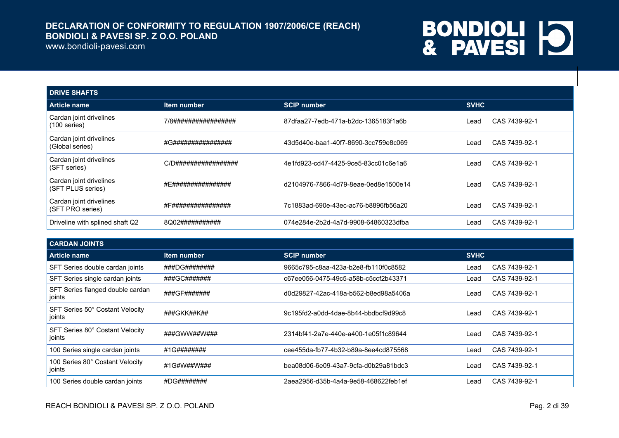#### www.bondioli-pavesi.com

| <b>DRIVE SHAFTS</b>                          |                      |                                      |             |               |
|----------------------------------------------|----------------------|--------------------------------------|-------------|---------------|
| <b>Article name</b>                          | Item number          | <b>SCIP number</b>                   | <b>SVHC</b> |               |
| Cardan joint drivelines<br>$(100$ series)    | 7/8################# | 87dfaa27-7edb-471a-b2dc-1365183f1a6b | Lead        | CAS 7439-92-1 |
| Cardan joint drivelines<br>(Global series)   | #G################   | 43d5d40e-baa1-40f7-8690-3cc759e8c069 | Lead        | CAS 7439-92-1 |
| Cardan joint drivelines<br>(SFT series)      | C/D################# | 4e1fd923-cd47-4425-9ce5-83cc01c6e1a6 | Lead        | CAS 7439-92-1 |
| Cardan joint drivelines<br>(SFT PLUS series) | #E################   | d2104976-7866-4d79-8eae-0ed8e1500e14 | Lead        | CAS 7439-92-1 |
| Cardan joint drivelines<br>(SFT PRO series)  | #F################   | 7c1883ad-690e-43ec-ac76-b8896fb56a20 | Lead        | CAS 7439-92-1 |
| Driveline with splined shaft Q2              | 8Q02###########      | 074e284e-2b2d-4a7d-9908-64860323dfba | Lead        | CAS 7439-92-1 |

| <b>CARDAN JOINTS</b>                       |               |                                      |             |               |
|--------------------------------------------|---------------|--------------------------------------|-------------|---------------|
| <b>Article name</b>                        | Item number   | <b>SCIP number</b>                   | <b>SVHC</b> |               |
| SFT Series double cardan joints            | ###DG######## | 9665c795-c8aa-423a-b2e8-fb110f0c8582 | Lead        | CAS 7439-92-1 |
| SFT Series single cardan joints            | ###GC#######  | c67ee056-0475-49c5-a58b-c5ccf2b43371 | Lead        | CAS 7439-92-1 |
| SFT Series flanged double cardan<br>joints | ###GF#######  | d0d29827-42ac-418a-b562-b8ed98a5406a | Lead        | CAS 7439-92-1 |
| SFT Series 50° Costant Velocity<br>joints  | ###GKK##K##   | 9c195fd2-a0dd-4dae-8b44-bbdbcf9d99c8 | Lead        | CAS 7439-92-1 |
| SFT Series 80° Costant Velocity<br>joints  | ###GWW##W###  | 2314bf41-2a7e-440e-a400-1e05f1c89644 | Lead        | CAS 7439-92-1 |
| 100 Series single cardan joints            | #1G########   | cee455da-fb77-4b32-b89a-8ee4cd875568 | Lead        | CAS 7439-92-1 |
| 100 Series 80° Costant Velocity<br>joints  | #1G#W##W###   | bea08d06-6e09-43a7-9cfa-d0b29a81bdc3 | Lead        | CAS 7439-92-1 |
| 100 Series double cardan joints            | #DG########   | 2aea2956-d35b-4a4a-9e58-468622feb1ef | Lead        | CAS 7439-92-1 |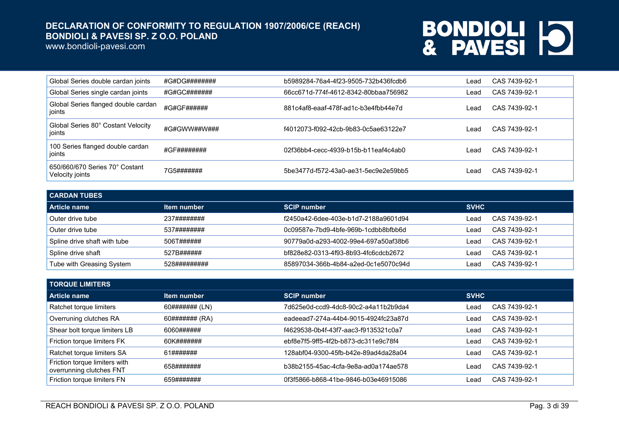www.bondioli-pavesi.com

| Global Series double cardan joints                | #G#DG######## | b5989284-76a4-4f23-9505-732b436fcdb6 | Lead | CAS 7439-92-1 |
|---------------------------------------------------|---------------|--------------------------------------|------|---------------|
| Global Series single cardan joints                | #G#GC#######  | 66cc671d-774f-4612-8342-80bbaa756982 | Lead | CAS 7439-92-1 |
| Global Series flanged double cardan<br>  joints   | #G#GF######   | 881c4af8-eaaf-478f-ad1c-b3e4fbb44e7d | ∟ead | CAS 7439-92-1 |
| Global Series 80° Costant Velocity<br>ioints      | #G#GWW##W###  | f4012073-f092-42cb-9b83-0c5ae63122e7 | Lead | CAS 7439-92-1 |
| 100 Series flanged double cardan<br>joints        | #GF########   | 02f36bb4-cecc-4939-b15b-b11eaf4c4ab0 | Lead | CAS 7439-92-1 |
| 650/660/670 Series 70° Costant<br>Velocity joints | 7G5#######    | 5be3477d-f572-43a0-ae31-5ec9e2e59bb5 | Lead | CAS 7439-92-1 |

| <b>CARDAN TUBES</b>          |              |                                      |             |               |  |
|------------------------------|--------------|--------------------------------------|-------------|---------------|--|
| Article name                 | Item number  | <b>SCIP number</b>                   | <b>SVHC</b> |               |  |
| Outer drive tube             | 237########  | f2450a42-6dee-403e-b1d7-2188a9601d94 | _ead        | CAS 7439-92-1 |  |
| Outer drive tube             | 537########  | 0c09587e-7bd9-4bfe-969b-1cdbb8bfbb6d | _ead        | CAS 7439-92-1 |  |
| Spline drive shaft with tube | 506T######   | 90779a0d-a293-4002-99e4-697a50af38b6 | _ead        | CAS 7439-92-1 |  |
| Spline drive shaft           | 527B######   | bf828e82-0313-4f93-8b93-4fc6cdcb2672 | _ead        | CAS 7439-92-1 |  |
| Tube with Greasing System    | 528######### | 85897034-366b-4b84-a2ed-0c1e5070c94d | _ead        | CAS 7439-92-1 |  |

| <b>TORQUE LIMITERS</b>                                    |                |                                      |             |               |  |
|-----------------------------------------------------------|----------------|--------------------------------------|-------------|---------------|--|
| <b>Article name</b>                                       | Item number    | <b>SCIP number</b>                   | <b>SVHC</b> |               |  |
| Ratchet torque limiters                                   | 60####### (LN) | 7d625e0d-ccd9-4dc8-90c2-a4a11b2b9da4 | Lead        | CAS 7439-92-1 |  |
| Overruning clutches RA                                    | 60####### (RA) | eadeead7-274a-44b4-9015-4924fc23a87d | Lead        | CAS 7439-92-1 |  |
| Shear bolt torque limiters LB                             | 6060######     | f4629538-0b4f-43f7-aac3-f9135321c0a7 | ∟ead        | CAS 7439-92-1 |  |
| Friction torque limiters FK                               | 60K#######     | ebf8e7f5-9ff5-4f2b-b873-dc311e9c78f4 | Lead        | CAS 7439-92-1 |  |
| Ratchet torque limiters SA                                | 61#######      | 128abf04-9300-45fb-b42e-89ad4da28a04 | ∟ead        | CAS 7439-92-1 |  |
| Friction torque limiters with<br>overrunning clutches FNT | 658#######     | b38b2155-45ac-4cfa-9e8a-ad0a174ae578 | Lead        | CAS 7439-92-1 |  |
| Friction torque limiters FN                               | 659#######     | 0f3f5866-b868-41be-9846-b03e46915086 | ∟ead        | CAS 7439-92-1 |  |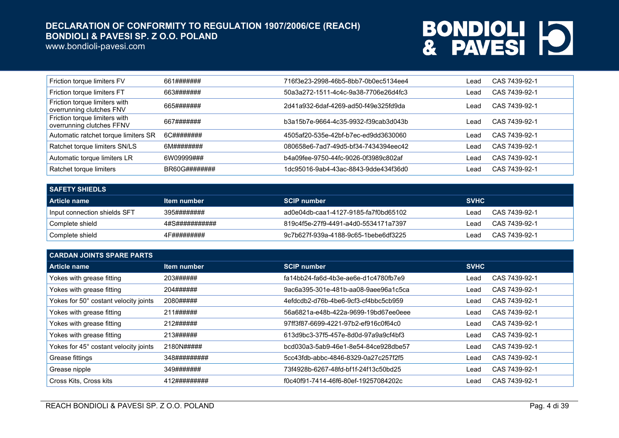www.bondioli-pavesi.com

| Friction torque limiters FV                                | 661#######    | 716f3e23-2998-46b5-8bb7-0b0ec5134ee4 | Lead  | CAS 7439-92-1 |
|------------------------------------------------------------|---------------|--------------------------------------|-------|---------------|
| Friction torque limiters FT                                | 663#######    | 50a3a272-1511-4c4c-9a38-7706e26d4fc3 | Lead. | CAS 7439-92-1 |
| Friction torque limiters with<br>overrunning clutches FNV  | 665#######    | 2d41a932-6daf-4269-ad50-f49e325fd9da | _ead  | CAS 7439-92-1 |
| Friction torque limiters with<br>overrunning clutches FFNV | 667#######    | b3a15b7e-9664-4c35-9932-f39cab3d043b | _ead  | CAS 7439-92-1 |
| Automatic ratchet torque limiters SR                       | 6C########    | 4505af20-535e-42bf-b7ec-ed9dd3630060 | _ead  | CAS 7439-92-1 |
| Ratchet torque limiters SN/LS                              | 6M########    | 080658e6-7ad7-49d5-bf34-7434394eec42 | Lead. | CAS 7439-92-1 |
| Automatic torque limiters LR                               | 6W09999###    | b4a09fee-9750-44fc-9026-0f3989c802af | Lead  | CAS 7439-92-1 |
| Ratchet torque limiters                                    | BR60G######## | 1dc95016-9ab4-43ac-8843-9dde434f36d0 | _ead  | CAS 7439-92-1 |

| I SAFETY SHIEDLS             |                |                                      |             |               |  |
|------------------------------|----------------|--------------------------------------|-------------|---------------|--|
| Article name                 | Item number    | <b>SCIP number</b>                   | <b>SVHC</b> |               |  |
| Input connection shields SFT | 395########    | ad0e04db-caa1-4127-9185-fa7f0bd65102 | ∟ead        | CAS 7439-92-1 |  |
| Complete shield              | 4#S########### | 819c4f5e-27f9-4491-a4d0-5534171a7397 | ∟ead        | CAS 7439-92-1 |  |
| Complete shield              | 4F#########    | 9c7b627f-939a-4188-9c65-1bebe6df3225 | ∣ead        | CAS 7439-92-1 |  |

| <b>CARDAN JOINTS SPARE PARTS</b>      |              |                                      |             |               |  |
|---------------------------------------|--------------|--------------------------------------|-------------|---------------|--|
| Article name                          | Item number  | <b>SCIP number</b>                   | <b>SVHC</b> |               |  |
| Yokes with grease fitting             | 203######    | fa14bb24-fa6d-4b3e-ae6e-d1c4780fb7e9 | Lead        | CAS 7439-92-1 |  |
| Yokes with grease fitting             | 204######    | 9ac6a395-301e-481b-aa08-9aee96a1c5ca | Lead        | CAS 7439-92-1 |  |
| Yokes for 50° costant velocity joints | 2080#####    | 4efdcdb2-d76b-4be6-9cf3-cf4bbc5cb959 | Lead        | CAS 7439-92-1 |  |
| Yokes with grease fitting             | 211######    | 56a6821a-e48b-422a-9699-19bd67ee0eee | Lead        | CAS 7439-92-1 |  |
| Yokes with grease fitting             | 212######    | 97ff3f87-6699-4221-97b2-ef916c0f64c0 | Lead        | CAS 7439-92-1 |  |
| Yokes with grease fitting             | 213######    | 613d9bc3-37f5-457e-8d0d-97a9a9cf4bf3 | Lead        | CAS 7439-92-1 |  |
| Yokes for 45° costant velocity joints | 2180N#####   | bcd030a3-5ab9-46e1-8e54-84ce928dbe57 | Lead        | CAS 7439-92-1 |  |
| Grease fittings                       | 348######### | 5cc43fdb-abbc-4846-8329-0a27c257f2f5 | Lead        | CAS 7439-92-1 |  |
| Grease nipple                         | 349#######   | 73f4928b-6267-48fd-bf1f-24f13c50bd25 | Lead        | CAS 7439-92-1 |  |
| Cross Kits, Cross kits                | 412######### | f0c40f91-7414-46f6-80ef-19257084202c | Lead        | CAS 7439-92-1 |  |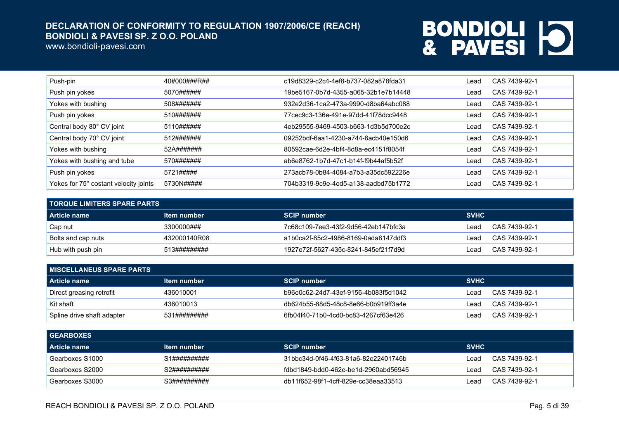www.bondioli-pavesi.com

| Push-pin                              | 40#000###R## | c19d8329-c2c4-4ef8-b737-082a878fda31  | Lead | CAS 7439-92-1 |
|---------------------------------------|--------------|---------------------------------------|------|---------------|
| Push pin yokes                        | 5070######   | 19be5167-0b7d-4355-a065-32b1e7b14448  | Lead | CAS 7439-92-1 |
| Yokes with bushing                    | 508#######   | 932e2d36-1ca2-473a-9990-d8ba64abc088  | Lead | CAS 7439-92-1 |
| Push pin yokes                        | 510#######   | 77 cec9c3-136e-491e-97dd-41f78dcc9448 | Lead | CAS 7439-92-1 |
| Central body 80° CV joint             | 5110######   | 4eb29555-9469-4503-b663-1d3b5d700e2c  | Lead | CAS 7439-92-1 |
| Central body 70° CV joint             | 512#######   | 09252bdf-6aa1-4230-a744-6acb40e150d6  | Lead | CAS 7439-92-1 |
| Yokes with bushing                    | 52A#######   | 80592cae-6d2e-4bf4-8d8a-ec4151f8054f  | Lead | CAS 7439-92-1 |
| Yokes with bushing and tube           | 570#######   | ab6e8762-1b7d-47c1-b14f-f9b44af5b52f  | Lead | CAS 7439-92-1 |
| Push pin yokes                        | 5721#####    | 273acb78-0b84-4084-a7b3-a35dc592226e  | Lead | CAS 7439-92-1 |
| Yokes for 75° costant velocity joints | 5730N#####   | 704b3319-9c9e-4ed5-a138-aadbd75b1772  | Lead | CAS 7439-92-1 |

| <b>TORQUE LIMITERS SPARE PARTS .</b> |                    |                                      |             |               |  |
|--------------------------------------|--------------------|--------------------------------------|-------------|---------------|--|
| Article name                         | <u>Item number</u> | <b>SCIP number</b>                   | <b>SVHC</b> |               |  |
| Cap nut                              | 3300000###         | 7c68c109-7ee3-43f2-9d56-42eb147bfc3a | ∟ead        | CAS 7439-92-1 |  |
| Bolts and cap nuts                   | 432000140R08       | a1b0ca2f-85c2-4986-8169-0ada8147ddf3 | _ead        | CAS 7439-92-1 |  |
| Hub with push pin                    | 513#########       | 1927e72f-5627-435c-8241-845ef21f7d9d | _ead        | CAS 7439-92-1 |  |

| <b>I MISCELLANEUS SPARE PARTS</b> |              |                                      |             |               |  |
|-----------------------------------|--------------|--------------------------------------|-------------|---------------|--|
| l Article name                    | Item number  | <b>SCIP number</b>                   | <b>SVHC</b> |               |  |
| Direct greasing retrofit          | 436010001    | b96e0c62-24d7-43ef-9156-4b083f5d1042 | ∟ead        | CAS 7439-92-1 |  |
| Kit shaft                         | 436010013    | db624b55-88d5-48c8-8e66-b0b919ff3a4e | ∟ead        | CAS 7439-92-1 |  |
| ' Spline drive shaft adapter      | 531######### | 6fb04f40-71b0-4cd0-bc83-4267cf63e426 | _ead        | CAS 7439-92-1 |  |

| <b>GEARBOXES</b> |              |                                      |             |               |
|------------------|--------------|--------------------------------------|-------------|---------------|
| Article name     | Item number  | <b>SCIP number</b>                   | <b>SVHC</b> |               |
| Gearboxes S1000  | S1########## | 31bbc34d-0f46-4f63-81a6-82e22401746b | Lead        | CAS 7439-92-1 |
| Gearboxes S2000  | S2########## | fdbd1849-bdd0-462e-be1d-2960abd56945 | Lead        | CAS 7439-92-1 |
| Gearboxes S3000  | S3########## | db11f652-98f1-4cff-829e-cc38eaa33513 | Lead        | CAS 7439-92-1 |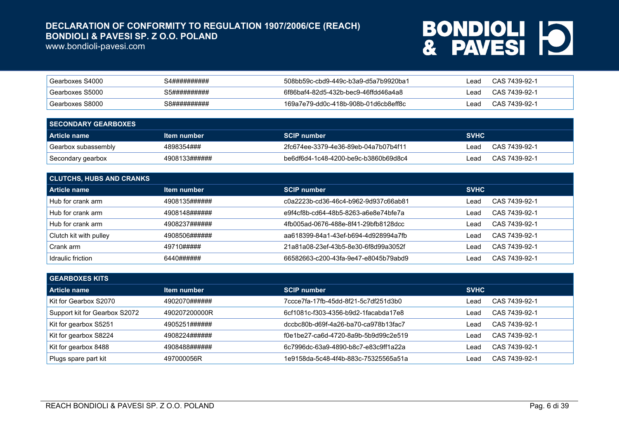www.bondioli-pavesi.com

| <sup>I</sup> Gearboxes S4000 | 34########## | 508bb59c-cbd9-449c-b3a9-d5a7b9920ba1 | Lead | CAS 7439-92-1 |
|------------------------------|--------------|--------------------------------------|------|---------------|
| Gearboxes S5000              | 35########## | 6f86baf4-82d5-432b-bec9-46ffdd46a4a8 | _ead | CAS 7439-92-1 |
| <sup>I</sup> Gearboxes S8000 | S8########## | 169a7e79-dd0c-418b-908b-01d6cb8eff8c | ead  | CAS 7439-92-1 |

| <b>SECONDARY GEARBOXES</b> |               |                                      |             |               |
|----------------------------|---------------|--------------------------------------|-------------|---------------|
| Article name               | Item number   | <b>SCIP number</b>                   | <b>SVHC</b> |               |
| Gearbox subassembly        | 4898354###    | 2fc674ee-3379-4e36-89eb-04a7b07b4f11 | ∣ead        | CAS 7439-92-1 |
| Secondary gearbox          | 4908133###### | be6df6d4-1c48-4200-be9c-b3860b69d8c4 | ead         | CAS 7439-92-1 |

| <b>CLUTCHS, HUBS AND CRANKS</b> |               |                                      |             |               |  |
|---------------------------------|---------------|--------------------------------------|-------------|---------------|--|
| Article name                    | Item number   | <b>SCIP number</b>                   | <b>SVHC</b> |               |  |
| Hub for crank arm               | 4908135###### | c0a2223b-cd36-46c4-b962-9d937c66ab81 | Lead        | CAS 7439-92-1 |  |
| Hub for crank arm               | 4908148###### | e9f4cf8b-cd64-48b5-8263-a6e8e74bfe7a | Lead        | CAS 7439-92-1 |  |
| Hub for crank arm               | 4908237###### | 4fb005ad-0676-488e-8f41-29bfb8128dcc | Lead        | CAS 7439-92-1 |  |
| Clutch kit with pulley          | 4908506###### | aa618399-84a1-43ef-b694-4d928994a7fb | Lead        | CAS 7439-92-1 |  |
| Crank arm                       | 49710#####    | 21a81a08-23ef-43b5-8e30-6f8d99a3052f | Lead        | CAS 7439-92-1 |  |
| Idraulic friction               | 6440######    | 66582663-c200-43fa-9e47-e8045b79abd9 | Lead        | CAS 7439-92-1 |  |

| <b>GEARBOXES KITS</b>         |               |                                      |             |               |
|-------------------------------|---------------|--------------------------------------|-------------|---------------|
| Article name                  | Item number   | <b>SCIP number</b>                   | <b>SVHC</b> |               |
| Kit for Gearbox S2070         | 4902070###### | 7ccce7fa-17fb-45dd-8f21-5c7df251d3b0 | _ead        | CAS 7439-92-1 |
| Support kit for Gearbox S2072 | 490207200000R | 6cf1081c-f303-4356-b9d2-1facabda17e8 | _ead        | CAS 7439-92-1 |
| Kit for gearbox S5251         | 4905251###### | dccbc80b-d69f-4a26-ba70-ca978b13fac7 | _ead        | CAS 7439-92-1 |
| Kit for gearbox S8224         | 4908224###### | f0e1be27-ca6d-4720-8a9b-5b9d99c2e519 | ∟ead        | CAS 7439-92-1 |
| Kit for gearbox 8488          | 4908488###### | 6c7996dc-63a9-4890-b8c7-e83c9ff1a22a | _ead        | CAS 7439-92-1 |
| Plugs spare part kit          | 497000056R    | 1e9158da-5c48-4f4b-883c-75325565a51a | _ead        | CAS 7439-92-1 |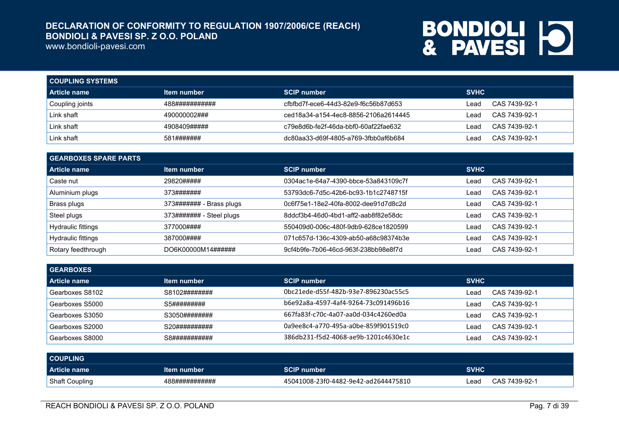www.bondioli-pavesi.com

| <b>COUPLING SYSTEMS</b> |                |                                      |             |               |
|-------------------------|----------------|--------------------------------------|-------------|---------------|
| l Article name          | Item number    | <b>SCIP number</b>                   | <b>SVHC</b> |               |
| Coupling joints         | 488########### | cfbfbd7f-ece6-44d3-82e9-f6c56b87d653 | ∟ead        | CAS 7439-92-1 |
| Link shaft              | 490000002###   | ced18a34-a154-4ec8-8856-2106a2614445 | ∟ead        | CAS 7439-92-1 |
| Link shaft              | 4908409#####   | c79e8d6b-fe2f-46da-bbf0-60af22fae632 | ∟ead        | CAS 7439-92-1 |
| Link shaft              | 581#######     | dc80aa33-d69f-4805-a769-3fbb0af6b684 | ∟ead        | CAS 7439-92-1 |

| <b>GEARBOXES SPARE PARTS</b> |                          |                                      |             |               |  |
|------------------------------|--------------------------|--------------------------------------|-------------|---------------|--|
| <b>Article name</b>          | Item number              | <b>SCIP number</b>                   | <b>SVHC</b> |               |  |
| Caste nut                    | 29820#####               | 0304ac1e-64a7-4390-bbce-53a843109c7f | Lead        | CAS 7439-92-1 |  |
| Aluminium plugs              | 373#######               | 53793dc6-7d5c-42b6-bc93-1b1c2748715f | Lead        | CAS 7439-92-1 |  |
| Brass plugs                  | 373####### - Brass plugs | 0c6f75e1-18e2-40fa-8002-dee91d7d8c2d | Lead        | CAS 7439-92-1 |  |
| Steel plugs                  | 373####### - Steel plugs | 8ddcf3b4-46d0-4bd1-aff2-aab8f82e58dc | Lead        | CAS 7439-92-1 |  |
| Hydraulic fittings           | 377000####               | 550409d0-006c-480f-9db9-628ce1820599 | Lead        | CAS 7439-92-1 |  |
| Hydraulic fittings           | 387000####               | 071c657d-136c-4309-ab50-a68c98374b3e | Lead        | CAS 7439-92-1 |  |
| Rotary feedthrough           | DO6K00000M14######       | 9cf4b9fe-7b06-46cd-963f-238bb98e8f7d | Lead        | CAS 7439-92-1 |  |

| <b>GEARBOXES</b> |               |                                      |                       |
|------------------|---------------|--------------------------------------|-----------------------|
| Article name     | Item number   | <b>SCIP number</b>                   | <b>SVHC</b>           |
| Gearboxes S8102  | S8102######## | 0bc21ede-d55f-482b-93e7-896230ac55c5 | CAS 7439-92-1<br>Lead |
| Gearboxes S5000  | S5#########   | b6e92a8a-4597-4af4-9264-73c091496b16 | CAS 7439-92-1<br>Lead |
| Gearboxes S3050  | S3050######## | 667fa83f-c70c-4a07-aa0d-034c4260ed0a | CAS 7439-92-1<br>Lead |
| Gearboxes S2000  | S20########## | 0a9ee8c4-a770-495a-a0be-859f901519c0 | CAS 7439-92-1<br>Lead |
| Gearboxes S8000  | S8########### | 386db231-f5d2-4068-ae9b-1201c4630e1c | CAS 7439-92-1<br>Lead |

| <b>COUPLING</b> |                |                                      |             |               |
|-----------------|----------------|--------------------------------------|-------------|---------------|
| Article name    | Item number    | SCIP number                          | <b>SVHC</b> |               |
| Shaft Coupling  | 488########### | 45041008-23f0-4482-9e42-ad2644475810 | Lead        | CAS 7439-92-1 |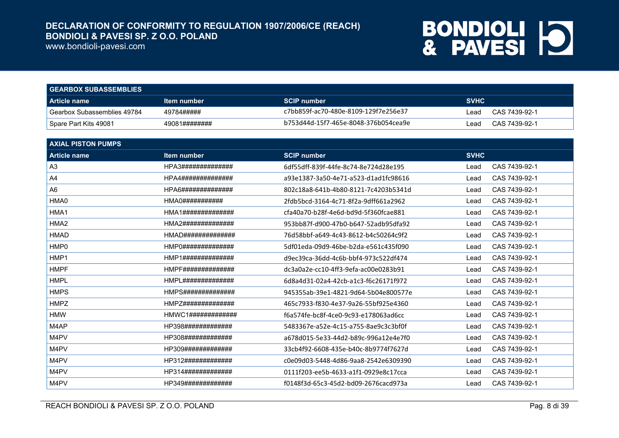www.bondioli-pavesi.com

| <b>GEARBOX SUBASSEMBLIES</b> |                    |                                      |             |               |  |
|------------------------------|--------------------|--------------------------------------|-------------|---------------|--|
| Article name                 | <u>Item number</u> | <b>SCIP number</b>                   | <b>SVHC</b> |               |  |
| Gearbox Subassemblies 49784  | 49784#####         | c7bb859f-ac70-480e-8109-129f7e256e37 | ead         | CAS 7439-92-1 |  |
| Spare Part Kits 49081        | 49081########      | b753d44d-15f7-465e-8048-376b054cea9e | Lead        | CAS 7439-92-1 |  |

| <b>AXIAL PISTON PUMPS</b> |                                    |                                      |             |               |
|---------------------------|------------------------------------|--------------------------------------|-------------|---------------|
| <b>Article name</b>       | Item number                        | <b>SCIP number</b>                   | <b>SVHC</b> |               |
| A <sub>3</sub>            | HPA3##############                 | 6df55dff-839f-44fe-8c74-8e724d28e195 | Lead        | CAS 7439-92-1 |
| A <sub>4</sub>            | HPA4##############                 | a93e1387-3a50-4e71-a523-d1ad1fc98616 | Lead        | CAS 7439-92-1 |
| A <sub>6</sub>            | HPA6##############                 | 802c18a8-641b-4b80-8121-7c4203b5341d | Lead        | CAS 7439-92-1 |
| HMA0                      | HMA0###########                    | 2fdb5bcd-3164-4c71-8f2a-9dff661a2962 | Lead        | CAS 7439-92-1 |
| HMA1                      | HMA1##############                 | cfa40a70-b28f-4e6d-bd9d-5f360fcae881 | Lead        | CAS 7439-92-1 |
| HMA <sub>2</sub>          | HMA2##############                 | 953bb87f-d900-47b0-b647-52adb95dfa92 | Lead        | CAS 7439-92-1 |
| <b>HMAD</b>               | HMAD##############                 | 76d58bbf-a649-4c43-8612-b4c50264c9f2 | Lead        | CAS 7439-92-1 |
| HMP0                      | HMP0##############                 | 5df01eda-09d9-46be-b2da-e561c435f090 | Lead        | CAS 7439-92-1 |
| HMP1                      | HMP1##############                 | d9ec39ca-36dd-4c6b-bbf4-973c522df474 | Lead        | CAS 7439-92-1 |
| <b>HMPF</b>               | HMPF##############                 | dc3a0a2e-cc10-4ff3-9efa-ac00e0283b91 | Lead        | CAS 7439-92-1 |
| <b>HMPL</b>               | HMPL##############                 | 6d8a4d31-02a4-42cb-a1c3-f6c26171f972 | Lead        | CAS 7439-92-1 |
| <b>HMPS</b>               | HMPS#############                  | 945355ab-39e1-4821-9d64-5b04e800577e | Lead        | CAS 7439-92-1 |
| <b>HMPZ</b>               | HMPZ##############                 | 465c7933-f830-4e37-9a26-55bf925e4360 | Lead        | CAS 7439-92-1 |
| <b>HMW</b>                | HMWC1# # # # # # # # # # # # # # # | f6a574fe-bc8f-4ce0-9c93-e178063ad6cc | Lead        | CAS 7439-92-1 |
| M4AP                      | HP398#############                 | 5483367e-a52e-4c15-a755-8ae9c3c3bf0f | Lead        | CAS 7439-92-1 |
| M4PV                      | HP308#############                 | a678d015-5e33-44d2-b89c-996a12e4e7f0 | Lead        | CAS 7439-92-1 |
| M4PV                      | HP309#############                 | 33cb4f92-6608-435e-b40c-8b9774f7627d | Lead        | CAS 7439-92-1 |
| M4PV                      | HP312#############                 | c0e09d03-5448-4d86-9aa8-2542e6309390 | Lead        | CAS 7439-92-1 |
| M4PV                      | HP314#############                 | 0111f203-ee5b-4633-a1f1-0929e8c17cca | Lead        | CAS 7439-92-1 |
| M4PV                      | HP349#############                 | f0148f3d-65c3-45d2-bd09-2676cacd973a | Lead        | CAS 7439-92-1 |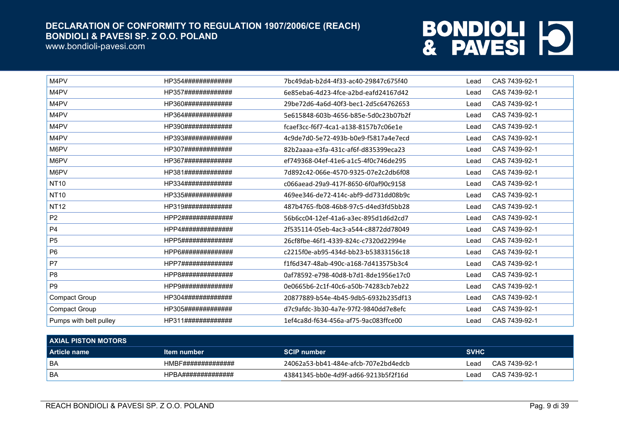www.bondioli-pavesi.com

| M4PV                   | HP354############# | 7bc49dab-b2d4-4f33-ac40-29847c675f40 | Lead | CAS 7439-92-1 |
|------------------------|--------------------|--------------------------------------|------|---------------|
| M4PV                   | HP357############# | 6e85eba6-4d23-4fce-a2bd-eafd24167d42 | Lead | CAS 7439-92-1 |
| M4PV                   | HP360############# | 29be72d6-4a6d-40f3-bec1-2d5c64762653 | Lead | CAS 7439-92-1 |
| M4PV                   | HP364############# | 5e615848-603b-4656-b85e-5d0c23b07b2f | Lead | CAS 7439-92-1 |
| M4PV                   | HP390############# | fcaef3cc-f6f7-4ca1-a138-8157b7c06e1e | Lead | CAS 7439-92-1 |
| M4PV                   | HP393############# | 4c9de7d0-5e72-493b-b0e9-f5817a4e7ecd | Lead | CAS 7439-92-1 |
| M6PV                   | HP307############# | 82b2aaaa-e3fa-431c-af6f-d835399eca23 | Lead | CAS 7439-92-1 |
| M6PV                   | HP367############# | ef749368-04ef-41e6-a1c5-4f0c746de295 | Lead | CAS 7439-92-1 |
| M6PV                   | HP381############# | 7d892c42-066e-4570-9325-07e2c2db6f08 | Lead | CAS 7439-92-1 |
| <b>NT10</b>            | HP334############# | c066aead-29a9-417f-8650-6f0af90c9158 | Lead | CAS 7439-92-1 |
| <b>NT10</b>            | HP335############# | 469ee346-de72-414c-abf9-dd731dd08b9c | Lead | CAS 7439-92-1 |
| <b>NT12</b>            | HP319############# | 487b4765-fb08-46b8-97c5-d4ed3fd5bb28 | Lead | CAS 7439-92-1 |
| P <sub>2</sub>         | HPP2############## | 56b6cc04-12ef-41a6-a3ec-895d1d6d2cd7 | Lead | CAS 7439-92-1 |
| <b>P4</b>              | HPP4############## | 2f535114-05eb-4ac3-a544-c8872dd78049 | Lead | CAS 7439-92-1 |
| P <sub>5</sub>         | HPP5############## | 26cf8fbe-46f1-4339-824c-c7320d22994e | Lead | CAS 7439-92-1 |
| P <sub>6</sub>         | HPP6############## | c2215f0e-ab95-434d-bb23-b53833156c18 | Lead | CAS 7439-92-1 |
| P7                     | HPP7############## | f1f6d347-48ab-490c-a168-7d413575b3c4 | Lead | CAS 7439-92-1 |
| P <sub>8</sub>         | HPP8#############  | 0af78592-e798-40d8-b7d1-8de1956e17c0 | Lead | CAS 7439-92-1 |
| P <sub>9</sub>         | HPP9#############  | 0e0665b6-2c1f-40c6-a50b-74283cb7eb22 | Lead | CAS 7439-92-1 |
| Compact Group          | HP304############# | 20877889-b54e-4b45-9db5-6932b235df13 | Lead | CAS 7439-92-1 |
| <b>Compact Group</b>   | HP305############# | d7c9afdc-3b30-4a7e-97f2-9840dd7e8efc | Lead | CAS 7439-92-1 |
| Pumps with belt pulley | HP311############# | 1ef4ca8d-f634-456a-af75-9ac083ffce00 | Lead | CAS 7439-92-1 |

| <b>AXIAL PISTON MOTORS</b> |                    |                                      |             |               |  |
|----------------------------|--------------------|--------------------------------------|-------------|---------------|--|
| l Article name             | <u>Item number</u> | <b>SCIP number</b>                   | <b>SVHC</b> |               |  |
| <b>BA</b>                  | HMBF############## | 24062a53-bb41-484e-afcb-707e2bd4edcb | Lead        | CAS 7439-92-1 |  |
| BA                         | HPBA############## | 43841345-bb0e-4d9f-ad66-9213b5f2f16d | ∟ead        | CAS 7439-92-1 |  |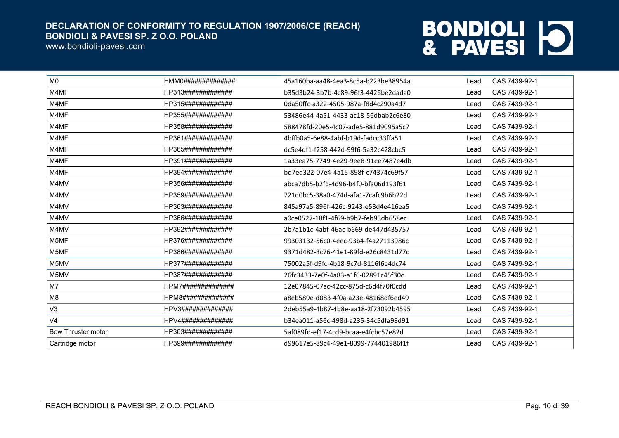www.bondioli-pavesi.com

| M <sub>0</sub>            | HMM0############## | 45a160ba-aa48-4ea3-8c5a-b223be38954a | Lead | CAS 7439-92-1 |
|---------------------------|--------------------|--------------------------------------|------|---------------|
| M4MF                      | HP313############# | b35d3b24-3b7b-4c89-96f3-4426be2dada0 | Lead | CAS 7439-92-1 |
| M4MF                      | HP315############# | 0da50ffc-a322-4505-987a-f8d4c290a4d7 | Lead | CAS 7439-92-1 |
| M4MF                      | HP355############# | 53486e44-4a51-4433-ac18-56dbab2c6e80 | Lead | CAS 7439-92-1 |
| M4MF                      | HP358############# | 588478fd-20e5-4c07-ade5-881d9095a5c7 | Lead | CAS 7439-92-1 |
| M4MF                      | HP361############# | 4bffb0a5-6e88-4abf-b19d-fadcc33ffa51 | Lead | CAS 7439-92-1 |
| M4MF                      | HP365############# | dc5e4df1-f258-442d-99f6-5a32c428cbc5 | Lead | CAS 7439-92-1 |
| M4MF                      | HP391############# | 1a33ea75-7749-4e29-9ee8-91ee7487e4db | Lead | CAS 7439-92-1 |
| M4MF                      | HP394############# | bd7ed322-07e4-4a15-898f-c74374c69f57 | Lead | CAS 7439-92-1 |
| M4MV                      | HP356############# | abca7db5-b2fd-4d96-b4f0-bfa06d193f61 | Lead | CAS 7439-92-1 |
| M4MV                      | HP359############# | 721d0bc5-38a0-474d-afa1-7cafc9b6b22d | Lead | CAS 7439-92-1 |
| M4MV                      | HP363############# | 845a97a5-896f-426c-9243-e53d4e416ea5 | Lead | CAS 7439-92-1 |
| M4MV                      | HP366############# | a0ce0527-18f1-4f69-b9b7-feb93db658ec | Lead | CAS 7439-92-1 |
| M4MV                      | HP392############# | 2b7a1b1c-4abf-46ac-b669-de447d435757 | Lead | CAS 7439-92-1 |
| M5MF                      | HP376############# | 99303132-56c0-4eec-93b4-f4a27113986c | Lead | CAS 7439-92-1 |
| M5MF                      | HP386############# | 9371d482-3c76-41e1-89fd-e26c8431d77c | Lead | CAS 7439-92-1 |
| M5MV                      | HP377############# | 75002a5f-d9fc-4b18-9c7d-8116f6e4dc74 | Lead | CAS 7439-92-1 |
| M5MV                      | HP387############# | 26fc3433-7e0f-4a83-a1f6-02891c45f30c | Lead | CAS 7439-92-1 |
| M7                        | HPM7############## | 12e07845-07ac-42cc-875d-c6d4f70f0cdd | Lead | CAS 7439-92-1 |
| M <sub>8</sub>            | HPM8############## | a8eb589e-d083-4f0a-a23e-48168df6ed49 | Lead | CAS 7439-92-1 |
| V <sub>3</sub>            | HPV3############## | 2deb55a9-4b87-4b8e-aa18-2f73092b4595 | Lead | CAS 7439-92-1 |
| V <sub>4</sub>            | HPV4############## | b34ea011-a56c-498d-a235-34c5dfa98d91 | Lead | CAS 7439-92-1 |
| <b>Bow Thruster motor</b> | HP303############# | 5af089fd-ef17-4cd9-bcaa-e4fcbc57e82d | Lead | CAS 7439-92-1 |
| Cartridge motor           | HP399############# | d99617e5-89c4-49e1-8099-774401986f1f | Lead | CAS 7439-92-1 |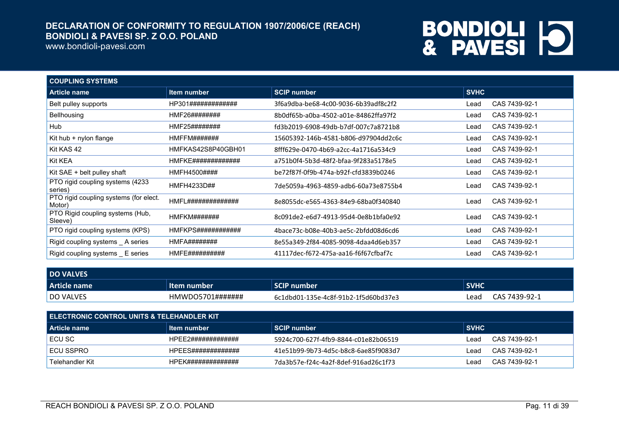www.bondioli-pavesi.com

| <b>COUPLING SYSTEMS</b>                          |                    |                                      |             |               |
|--------------------------------------------------|--------------------|--------------------------------------|-------------|---------------|
| <b>Article name</b>                              | Item number        | <b>SCIP number</b>                   | <b>SVHC</b> |               |
| Belt pulley supports                             | HP301############# | 3f6a9dba-be68-4c00-9036-6b39adf8c2f2 | Lead        | CAS 7439-92-1 |
| Bellhousing                                      | HMF26########      | 8b0df65b-a0ba-4502-a01e-84862ffa97f2 | Lead        | CAS 7439-92-1 |
| Hub                                              | HMF25########      | fd3b2019-6908-49db-b7df-007c7a8721b8 | Lead        | CAS 7439-92-1 |
| Kit hub + nylon flange                           | HMFFM#######       | 15605392-146b-4581-b806-d97904dd2c6c | Lead        | CAS 7439-92-1 |
| Kit KAS 42                                       | HMFKAS42S8P40GBH01 | 8fff629e-0470-4b69-a2cc-4a1716a534c9 | Lead        | CAS 7439-92-1 |
| Kit KEA                                          | HMFKE############# | a751b0f4-5b3d-48f2-bfaa-9f283a5178e5 | Lead        | CAS 7439-92-1 |
| Kit SAE + belt pulley shaft                      | HMFH4500####       | be72f87f-0f9b-474a-b92f-cfd3839b0246 | Lead        | CAS 7439-92-1 |
| PTO rigid coupling systems (4233<br>series)      | HMFH4233D##        | 7de5059a-4963-4859-adb6-60a73e8755b4 | Lead        | CAS 7439-92-1 |
| PTO rigid coupling systems (for elect.<br>Motor) | HMFL############## | 8e8055dc-e565-4363-84e9-68ba0f340840 | Lead        | CAS 7439-92-1 |
| PTO Rigid coupling systems (Hub,<br>Sleeve)      | HMFKM#######       | 8c091de2-e6d7-4913-95d4-0e8b1bfa0e92 | Lead        | CAS 7439-92-1 |
| PTO rigid coupling systems (KPS)                 | HMFKPS############ | 4bace73c-b08e-40b3-ae5c-2bfdd08d6cd6 | Lead        | CAS 7439-92-1 |
| Rigid coupling systems _ A series                | HMFA########       | 8e55a349-2f84-4085-9098-4daa4d6eb357 | Lead        | CAS 7439-92-1 |
| Rigid coupling systems E series                  | HMFE##########     | 41117dec-f672-475a-aa16-f6f67cfbaf7c | Lead        | CAS 7439-92-1 |

| <b>DO VALVES</b> |                       |                                      |             |               |
|------------------|-----------------------|--------------------------------------|-------------|---------------|
| Article name     | ltem number           | <b>SCIP number</b>                   | <b>SVHC</b> |               |
| <b>DO VALVES</b> | $HMWDO5701\#$ ####### | 6c1dbd01-135e-4c8f-91b2-1f5d60bd37e3 | Lead        | CAS 7439-92-1 |

| I ELECTRONIC CONTROL UNITS & TELEHANDLER KIT |                    |                                      |             |               |  |
|----------------------------------------------|--------------------|--------------------------------------|-------------|---------------|--|
| <b>Article name</b>                          | Item number        | <b>SCIP number</b>                   | <b>SVHC</b> |               |  |
| ECU SC                                       | HPEE2############# | 5924c700-627f-4fb9-8844-c01e82b06519 | ∟ead        | CAS 7439-92-1 |  |
| <b>ECU SSPRO</b>                             | HPEES############# | 41e51b99-9b73-4d5c-b8c8-6ae85f9083d7 | ∟ead        | CAS 7439-92-1 |  |
| Telehandler Kit                              | HPFK############## | 7da3b57e-f24c-4a2f-8def-916ad26c1f73 | ∟ead        | CAS 7439-92-1 |  |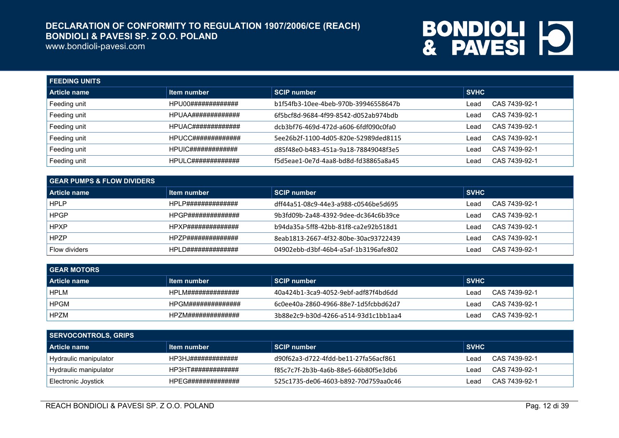www.bondioli-pavesi.com

| <b>FEEDING UNITS</b> |                           |                                      |             |               |  |
|----------------------|---------------------------|--------------------------------------|-------------|---------------|--|
| Article name         | Item number               | <b>SCIP number</b>                   | <b>SVHC</b> |               |  |
| Feeding unit         | HPU00#############        | b1f54fb3-10ee-4beb-970b-39946558647b | Lead        | CAS 7439-92-1 |  |
| Feeding unit         | HPUAA#############        | 6f5bcf8d-9684-4f99-8542-d052ab974bdb | Lead        | CAS 7439-92-1 |  |
| Feeding unit         | HPUAC#############        | dcb3bf76-469d-472d-a606-6fdf090c0fa0 | Lead        | CAS 7439-92-1 |  |
| Feeding unit         | HPUCC#############        | 5ee26b2f-1100-4d05-820e-52989ded8115 | Lead        | CAS 7439-92-1 |  |
| Feeding unit         | <b>HPUIC#############</b> | d85f48e0-b483-451a-9a18-78849048f3e5 | Lead        | CAS 7439-92-1 |  |
| Feeding unit         | HPULC#############        | f5d5eae1-0e7d-4aa8-bd8d-fd38865a8a45 | Lead        | CAS 7439-92-1 |  |

| <b>GEAR PUMPS &amp; FLOW DIVIDERS</b> |                    |                                      |             |               |  |
|---------------------------------------|--------------------|--------------------------------------|-------------|---------------|--|
| l Article name                        | Item number        | SCIP number                          | <b>SVHC</b> |               |  |
| HPLP                                  | HPLP############## | dff44a51-08c9-44e3-a988-c0546be5d695 | _ead        | CAS 7439-92-1 |  |
| <b>HPGP</b>                           | HPGP############## | 9b3fd09b-2a48-4392-9dee-dc364c6b39ce | _ead        | CAS 7439-92-1 |  |
| <b>HPXP</b>                           | HPXP############## | b94da35a-5ff8-42bb-81f8-ca2e92b518d1 | _ead        | CAS 7439-92-1 |  |
| <b>HPZP</b>                           | HPZP############## | 8eab1813-2667-4f32-80be-30ac93722439 | _ead        | CAS 7439-92-1 |  |
| Flow dividers                         | HPLD############## | 04902ebb-d3bf-46b4-a5af-1b3196afe802 | ead         | CAS 7439-92-1 |  |

| <b>GEAR MOTORS</b>  |                    |                                      |             |               |  |
|---------------------|--------------------|--------------------------------------|-------------|---------------|--|
| <b>Article name</b> | Item number        | <b>SCIP number</b>                   | <b>SVHC</b> |               |  |
| <b>HPLM</b>         | HPLM############## | 40a424b1-3ca9-4052-9ebf-adf87f4bd6dd | ∟ead        | CAS 7439-92-1 |  |
| <b>HPGM</b>         | HPGM############## | 6c0ee40a-2860-4966-88e7-1d5fcbbd62d7 | ∟ead        | CAS 7439-92-1 |  |
| <b>HPZM</b>         | HPZM############## | 3b88e2c9-b30d-4266-a514-93d1c1bb1aa4 | ∟ead        | CAS 7439-92-1 |  |

| SERVOCONTROLS, GRIPS  |                    |                                      |             |               |  |
|-----------------------|--------------------|--------------------------------------|-------------|---------------|--|
| l Article name        | ltem number        | <b>SCIP number</b>                   | <b>SVHC</b> |               |  |
| Hydraulic manipulator | HP3HJ############# | d90f62a3-d722-4fdd-be11-27fa56acf861 | ∟ead        | CAS 7439-92-1 |  |
| Hydraulic manipulator | HP3HT############# | f85c7c7f-2b3b-4a6b-88e5-66b80f5e3db6 | ∟ead        | CAS 7439-92-1 |  |
| Electronic Joystick   | HPEG############## | 525c1735-de06-4603-b892-70d759aa0c46 | _ead        | CAS 7439-92-1 |  |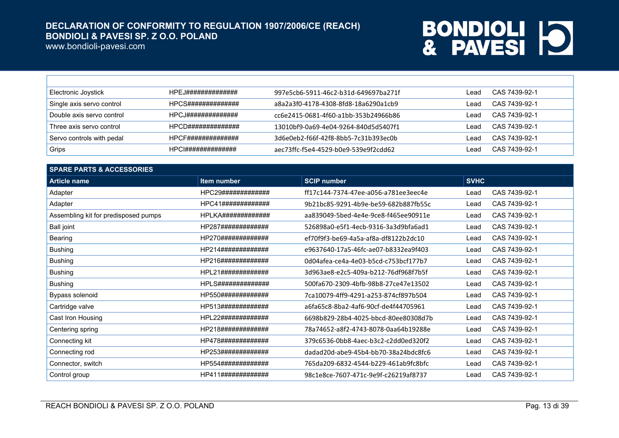www.bondioli-pavesi.com

 $\Gamma$ 

| Electronic Joystick       | HPFJ############## | 997e5cb6-5911-46c2-b31d-649697ba271f | Lead | CAS 7439-92-1 |
|---------------------------|--------------------|--------------------------------------|------|---------------|
| Single axis servo control | HPCS############## | a8a2a3f0-4178-4308-8fd8-18a6290a1cb9 | Lead | CAS 7439-92-1 |
| Double axis servo control | HPCJ############## | cc6e2415-0681-4f60-a1bb-353b24966b86 | ∟ead | CAS 7439-92-1 |
| Three axis servo control  | HPCD############## | 13010bf9-0a69-4e04-9264-840d5d5407f1 | Lead | CAS 7439-92-1 |
| Servo controls with pedal | HPCF############## | 3d6e0eb2-f66f-42f8-8bb5-7c31b393ec0b | Lead | CAS 7439-92-1 |
| ∣ Grips i                 | HPC1############## | aec73ffc-f5e4-4529-b0e9-539e9f2cdd62 | Lead | CAS 7439-92-1 |

| <b>SPARE PARTS &amp; ACCESSORIES</b> |                    |                                      |             |               |  |
|--------------------------------------|--------------------|--------------------------------------|-------------|---------------|--|
| <b>Article name</b>                  | Item number        | <b>SCIP number</b>                   | <b>SVHC</b> |               |  |
| Adapter                              | HPC29############# | ff17c144-7374-47ee-a056-a781ee3eec4e | Lead        | CAS 7439-92-1 |  |
| Adapter                              | HPC41############# | 9b21bc85-9291-4b9e-be59-682b887fb55c | Lead        | CAS 7439-92-1 |  |
| Assembling kit for predisposed pumps | HPLKA############# | aa839049-5bed-4e4e-9ce8-f465ee90911e | Lead        | CAS 7439-92-1 |  |
| <b>Ball joint</b>                    | HP287############# | 526898a0-e5f1-4ecb-9316-3a3d9bfa6ad1 | Lead        | CAS 7439-92-1 |  |
| Bearing                              | HP270############# | ef70f9f3-be69-4a5a-af8a-df8122b2dc10 | Lead        | CAS 7439-92-1 |  |
| <b>Bushing</b>                       | HP214############# | e9637640-17a5-46fc-ae07-b8332ea9f403 | Lead        | CAS 7439-92-1 |  |
| <b>Bushing</b>                       | HP216############# | 0d04afea-ce4a-4e03-b5cd-c753bcf177b7 | Lead        | CAS 7439-92-1 |  |
| <b>Bushing</b>                       | HPL21############# | 3d963ae8-e2c5-409a-b212-76df968f7b5f | Lead        | CAS 7439-92-1 |  |
| <b>Bushing</b>                       | HPLS############## | 500fa670-2309-4bfb-98b8-27ce47e13502 | Lead        | CAS 7439-92-1 |  |
| Bypass solenoid                      | HP550############# | 7ca10079-4ff9-4291-a253-874cf897b504 | Lead        | CAS 7439-92-1 |  |
| Cartridge valve                      | HP513############# | a6fa65c8-8ba2-4af6-90cf-de4f44705961 | Lead        | CAS 7439-92-1 |  |
| Cast Iron Housing                    | HPL22############# | 6698b829-28b4-4025-bbcd-80ee80308d7b | Lead        | CAS 7439-92-1 |  |
| Centering spring                     | HP218############# | 78a74652-a8f2-4743-8078-0aa64b19288e | Lead        | CAS 7439-92-1 |  |
| Connecting kit                       | HP478############# | 379c6536-0bb8-4aec-b3c2-c2dd0ed320f2 | Lead        | CAS 7439-92-1 |  |
| Connecting rod                       | HP253############# | dadad20d-abe9-45b4-bb70-38a24bdc8fc6 | Lead        | CAS 7439-92-1 |  |
| Connector, switch                    | HP554############# | 765da209-6832-4544-b229-461ab9fc8bfc | Lead        | CAS 7439-92-1 |  |
| Control group                        | HP411############# | 98c1e8ce-7607-471c-9e9f-c26219af8737 | Lead        | CAS 7439-92-1 |  |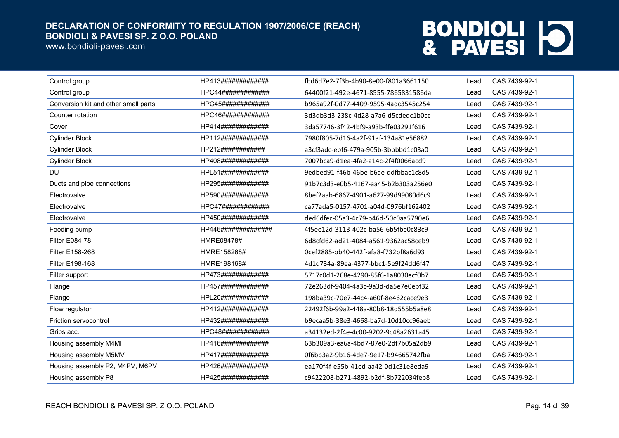www.bondioli-pavesi.com

| Control group                        | HP413#############  | fbd6d7e2-7f3b-4b90-8e00-f801a3661150 | Lead | CAS 7439-92-1 |
|--------------------------------------|---------------------|--------------------------------------|------|---------------|
| Control group                        | HPC44#############  | 64400f21-492e-4671-8555-7865831586da | Lead | CAS 7439-92-1 |
| Conversion kit and other small parts | HPC45#############  | b965a92f-0d77-4409-9595-4adc3545c254 | Lead | CAS 7439-92-1 |
| Counter rotation                     | HPC46#############  | 3d3db3d3-238c-4d28-a7a6-d5cdedc1b0cc | Lead | CAS 7439-92-1 |
| Cover                                | HP414############   | 3da57746-3f42-4bf9-a93b-ffe03291f616 | Lead | CAS 7439-92-1 |
| <b>Cylinder Block</b>                | HP112#############  | 7980f805-7d16-4a2f-91af-134a81e56882 | Lead | CAS 7439-92-1 |
| <b>Cylinder Block</b>                | HP212############   | a3cf3adc-ebf6-479a-905b-3bbbbd1c03a0 | Lead | CAS 7439-92-1 |
| <b>Cylinder Block</b>                | HP408#############  | 7007bca9-d1ea-4fa2-a14c-2f4f0066acd9 | Lead | CAS 7439-92-1 |
| <b>DU</b>                            | HPL51############   | 9edbed91-f46b-46be-b6ae-ddfbbac1c8d5 | Lead | CAS 7439-92-1 |
| Ducts and pipe connections           | HP295#############  | 91b7c3d3-e0b5-4167-aa45-b2b303a256e0 | Lead | CAS 7439-92-1 |
| Electrovalve                         | HP590#############  | 8bef2aab-6867-4901-a627-99d99080d6c9 | Lead | CAS 7439-92-1 |
| Electrovalve                         | HPC47#############  | ca77ada5-0157-4701-a04d-0976bf162402 | Lead | CAS 7439-92-1 |
| Electrovalve                         | HP450#############  | ded6dfec-05a3-4c79-b46d-50c0aa5790e6 | Lead | CAS 7439-92-1 |
| Feeding pump                         | HP446############## | 4f5ee12d-3113-402c-ba56-6b5fbe0c83c9 | Lead | CAS 7439-92-1 |
| <b>Filter E084-78</b>                | HMRE08478#          | 6d8cfd62-ad21-4084-a561-9362ac58ceb9 | Lead | CAS 7439-92-1 |
| Filter E158-268                      | HMRE158268#         | 0cef2885-bb40-442f-afa8-f732bf8a6d93 | Lead | CAS 7439-92-1 |
| Filter E198-168                      | HMRE198168#         | 4d1d734a-89ea-4377-bbc1-5e9f24dd6f47 | Lead | CAS 7439-92-1 |
| Filter support                       | HP473#############  | 5717c0d1-268e-4290-85f6-1a8030ecf0b7 | Lead | CAS 7439-92-1 |
| Flange                               | HP457#############  | 72e263df-9404-4a3c-9a3d-da5e7e0ebf32 | Lead | CAS 7439-92-1 |
| Flange                               | HPL20#############  | 198ba39c-70e7-44c4-a60f-8e462cace9e3 | Lead | CAS 7439-92-1 |
| Flow regulator                       | HP412#############  | 22492f6b-99a2-448a-80b8-18d555b5a8e8 | Lead | CAS 7439-92-1 |
| Friction servocontrol                | HP432#############  | b9ecaa5b-38e3-4668-ba7d-10d10cc96aeb | Lead | CAS 7439-92-1 |
| Grips acc.                           | HPC48#############  | a34132ed-2f4e-4c00-9202-9c48a2631a45 | Lead | CAS 7439-92-1 |
| Housing assembly M4MF                | HP416#############  | 63b309a3-ea6a-4bd7-87e0-2df7b05a2db9 | Lead | CAS 7439-92-1 |
| Housing assembly M5MV                | HP417#############  | 0f6bb3a2-9b16-4de7-9e17-b94665742fba | Lead | CAS 7439-92-1 |
| Housing assembly P2, M4PV, M6PV      | HP426#############  | ea170f4f-e55b-41ed-aa42-0d1c31e8eda9 | Lead | CAS 7439-92-1 |
| Housing assembly P8                  | HP425#############  | c9422208-b271-4892-b2df-8b722034feb8 | Lead | CAS 7439-92-1 |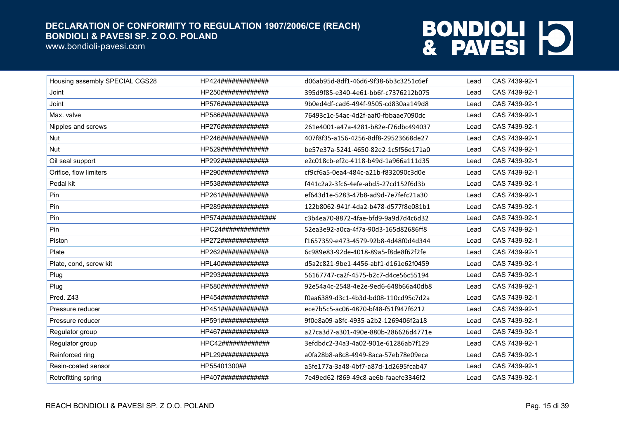www.bondioli-pavesi.com

| Housing assembly SPECIAL CGS28 | HP424#############   | d06ab95d-8df1-46d6-9f38-6b3c3251c6ef | Lead | CAS 7439-92-1 |
|--------------------------------|----------------------|--------------------------------------|------|---------------|
| Joint                          | HP250#############   | 395d9f85-e340-4e61-bb6f-c7376212b075 | Lead | CAS 7439-92-1 |
| Joint                          | HP576#############   | 9b0ed4df-cad6-494f-9505-cd830aa149d8 | Lead | CAS 7439-92-1 |
| Max. valve                     | HP586#############   | 76493c1c-54ac-4d2f-aaf0-fbbaae7090dc | Lead | CAS 7439-92-1 |
| Nipples and screws             | HP276#############   | 261e4001-a47a-4281-b82e-f76dbc494037 | Lead | CAS 7439-92-1 |
| <b>Nut</b>                     | HP246#############   | 407f8f35-a156-4256-8df8-29523668de27 | Lead | CAS 7439-92-1 |
| Nut                            | HP529#############   | be57e37a-5241-4650-82e2-1c5f56e171a0 | Lead | CAS 7439-92-1 |
| Oil seal support               | HP292#############   | e2c018cb-ef2c-4118-b49d-1a966a111d35 | Lead | CAS 7439-92-1 |
| Orifice, flow limiters         | HP290#############   | cf9cf6a5-0ea4-484c-a21b-f832090c3d0e | Lead | CAS 7439-92-1 |
| Pedal kit                      | HP538#############   | f441c2a2-3fc6-4efe-abd5-27cd152f6d3b | Lead | CAS 7439-92-1 |
| Pin                            | HP261#############   | ef643d1e-5283-47b8-ad9d-7e7fefc21a30 | Lead | CAS 7439-92-1 |
| Pin                            | HP289#############   | 122b8062-941f-4da2-b478-d577f8e081b1 | Lead | CAS 7439-92-1 |
| Pin                            | HP574############### | c3b4ea70-8872-4fae-bfd9-9a9d7d4c6d32 | Lead | CAS 7439-92-1 |
| Pin                            | HPC24#############   | 52ea3e92-a0ca-4f7a-90d3-165d82686ff8 | Lead | CAS 7439-92-1 |
| Piston                         | HP272#############   | f1657359-e473-4579-92b8-4d48f0d4d344 | Lead | CAS 7439-92-1 |
| Plate                          | HP262#############   | 6c989e83-92de-4018-89a5-f8de8f62f2fe | Lead | CAS 7439-92-1 |
| Plate, cond, screw kit         | HPL40#############   | d5a2c821-9be1-4456-abf1-d161e62f0459 | Lead | CAS 7439-92-1 |
| Plug                           | HP293#############   | 56167747-ca2f-4575-b2c7-d4ce56c55194 | Lead | CAS 7439-92-1 |
| Plug                           | HP580#############   | 92e54a4c-2548-4e2e-9ed6-648b66a40db8 | Lead | CAS 7439-92-1 |
| Pred. Z43                      | HP454#############   | f0aa6389-d3c1-4b3d-bd08-110cd95c7d2a | Lead | CAS 7439-92-1 |
| Pressure reducer               | HP451#############   | ece7b5c5-ac06-4870-bf48-f51f947f6212 | Lead | CAS 7439-92-1 |
| Pressure reducer               | HP591#############   | 9f0e8a09-a8fc-4935-a2b2-1269406f2a18 | Lead | CAS 7439-92-1 |
| Regulator group                | HP467#############   | a27ca3d7-a301-490e-880b-286626d4771e | Lead | CAS 7439-92-1 |
| Regulator group                | HPC42#############   | 3efdbdc2-34a3-4a02-901e-61286ab7f129 | Lead | CAS 7439-92-1 |
| Reinforced ring                | HPL29#############   | a0fa28b8-a8c8-4949-8aca-57eb78e09eca | Lead | CAS 7439-92-1 |
| Resin-coated sensor            | HP55401300##         | a5fe177a-3a48-4bf7-a87d-1d2695fcab47 | Lead | CAS 7439-92-1 |
| Retrofitting spring            | HP407#############   | 7e49ed62-f869-49c8-ae6b-faaefe3346f2 | Lead | CAS 7439-92-1 |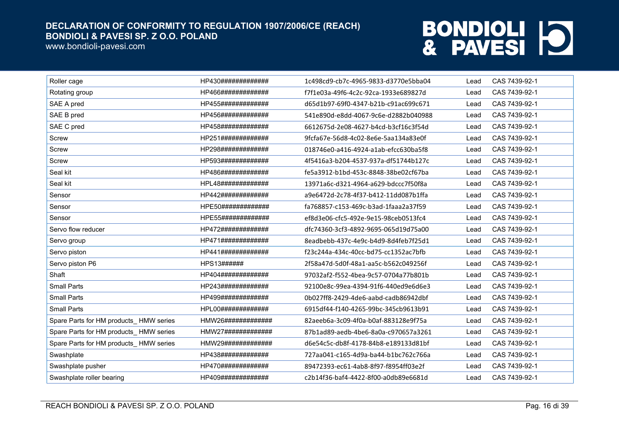www.bondioli-pavesi.com

| Roller cage                            | HP430############# | 1c498cd9-cb7c-4965-9833-d3770e5bba04 | Lead | CAS 7439-92-1 |
|----------------------------------------|--------------------|--------------------------------------|------|---------------|
| Rotating group                         | HP466############# | f7f1e03a-49f6-4c2c-92ca-1933e689827d | Lead | CAS 7439-92-1 |
| SAE A pred                             | HP455############# | d65d1b97-69f0-4347-b21b-c91ac699c671 | Lead | CAS 7439-92-1 |
| SAE B pred                             | HP456############# | 541e890d-e8dd-4067-9c6e-d2882b040988 | Lead | CAS 7439-92-1 |
| SAE C pred                             | HP458############# | 6612675d-2e08-4627-b4cd-b3cf16c3f54d | Lead | CAS 7439-92-1 |
| <b>Screw</b>                           | HP251############# | 9fcfa67e-56d8-4c02-8e6e-5aa134a83e0f | Lead | CAS 7439-92-1 |
| Screw                                  | HP298############# | 018746e0-a416-4924-a1ab-efcc630ba5f8 | Lead | CAS 7439-92-1 |
| Screw                                  | HP593############# | 4f5416a3-b204-4537-937a-df51744b127c | Lead | CAS 7439-92-1 |
| Seal kit                               | HP486############# | fe5a3912-b1bd-453c-8848-38be02cf67ba | Lead | CAS 7439-92-1 |
| Seal kit                               | HPL48############# | 13971a6c-d321-4964-a629-bdccc7f50f8a | Lead | CAS 7439-92-1 |
| Sensor                                 | HP442############# | a9e6472d-2c78-4f37-b412-11dd087b1ffa | Lead | CAS 7439-92-1 |
| Sensor                                 | HPE50############# | fa768857-c153-469c-b3ad-1faaa2a37f59 | Lead | CAS 7439-92-1 |
| Sensor                                 | HPE55############# | ef8d3e06-cfc5-492e-9e15-98ceb0513fc4 | Lead | CAS 7439-92-1 |
| Servo flow reducer                     | HP472############# | dfc74360-3cf3-4892-9695-065d19d75a00 | Lead | CAS 7439-92-1 |
| Servo group                            | HP471############  | 8eadbebb-437c-4e9c-b4d9-8d4feb7f25d1 | Lead | CAS 7439-92-1 |
| Servo piston                           | HP441############# | f23c244a-434c-40cc-bd75-cc1352ac7bfb | Lead | CAS 7439-92-1 |
| Servo piston P6                        | HPS13######        | 2f58a47d-5d0f-48a1-aa5c-b562c049256f | Lead | CAS 7439-92-1 |
| Shaft                                  | HP404############# | 97032af2-f552-4bea-9c57-0704a77b801b | Lead | CAS 7439-92-1 |
| <b>Small Parts</b>                     | HP243############# | 92100e8c-99ea-4394-91f6-440ed9e6d6e3 | Lead | CAS 7439-92-1 |
| <b>Small Parts</b>                     | HP499############# | 0b027ff8-2429-4de6-aabd-cadb86942dbf | Lead | CAS 7439-92-1 |
| <b>Small Parts</b>                     | HPL00############# | 6915df44-f140-4265-99bc-345cb9613b91 | Lead | CAS 7439-92-1 |
| Spare Parts for HM products_HMW series | HMW26############# | 82aeeb6a-3c09-4f0a-b0af-883128e9f75a | Lead | CAS 7439-92-1 |
| Spare Parts for HM products HMW series | HMW27############# | 87b1ad89-aedb-4be6-8a0a-c970657a3261 | Lead | CAS 7439-92-1 |
| Spare Parts for HM products_HMW series | HMW29############# | d6e54c5c-db8f-4178-84b8-e189133d81bf | Lead | CAS 7439-92-1 |
| Swashplate                             | HP438############# | 727aa041-c165-4d9a-ba44-b1bc762c766a | Lead | CAS 7439-92-1 |
| Swashplate pusher                      | HP470############# | 89472393-ec61-4ab8-8f97-f8954ff03e2f | Lead | CAS 7439-92-1 |
| Swashplate roller bearing              | HP409############# | c2b14f36-baf4-4422-8f00-a0db89e6681d | Lead | CAS 7439-92-1 |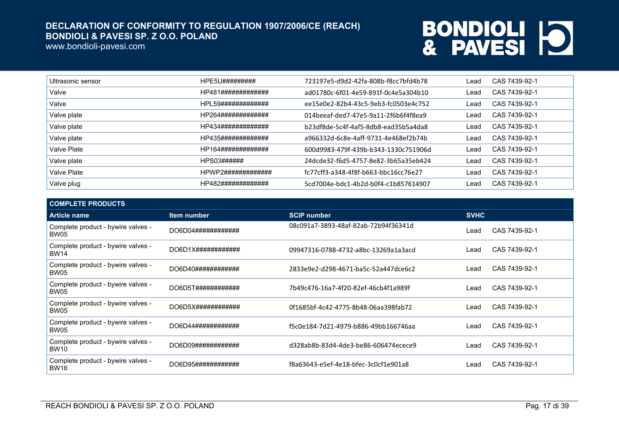www.bondioli-pavesi.com

| Ultrasonic sensor | HPE5U#########     | 723197e5-d9d2-42fa-808b-f8cc7bfd4b78 | Lead | CAS 7439-92-1 |
|-------------------|--------------------|--------------------------------------|------|---------------|
| Valve             | HP481############# | ad01780c-6f01-4e59-891f-0c4e5a304b10 | Lead | CAS 7439-92-1 |
| Valve             | HPL59############# | ee15e0e2-82b4-43c5-9eb3-fc0503e4c752 | Lead | CAS 7439-92-1 |
| Valve plate       | HP264############# | 014beeaf-ded7-47e5-9a11-2f6b6f4f8ea9 | Lead | CAS 7439-92-1 |
| Valve plate       | HP434############# | b23df8de-5c4f-4af5-8db8-ead35b5a4da8 | Lead | CAS 7439-92-1 |
| Valve plate       | HP435############# | a966332d-6c8e-4aff-9731-4e468ef2b74b | Lead | CAS 7439-92-1 |
| Valve Plate       | HP164############# | 600d9983-479f-439b-b343-1330c751906d | Lead | CAS 7439-92-1 |
| Valve plate       | HPS03######        | 24dcde32-f6d5-4757-8e82-3b65a35eb424 | Lead | CAS 7439-92-1 |
| Valve Plate       | HPWP2############# | fc77cff3-a348-4f8f-b663-bbc16cc76e27 | Lead | CAS 7439-92-1 |
| Valve plug        | HP482############# | 5cd7004e-bdc1-4b2d-b0f4-c1b857614907 | Lead | CAS 7439-92-1 |

| <b>COMPLETE PRODUCTS</b>                          |                     |                                      |             |               |
|---------------------------------------------------|---------------------|--------------------------------------|-------------|---------------|
| <b>Article name</b>                               | Item number         | <b>SCIP number</b>                   | <b>SVHC</b> |               |
| Complete product - bywire valves -<br><b>BW05</b> | DO6D04############# | 08c091a7-3893-48af-82ab-72b94f36341d | Lead        | CAS 7439-92-1 |
| Complete product - bywire valves -<br><b>BW14</b> |                     | 09947316-0788-4732-a8bc-13269a1a3acd | Lead        | CAS 7439-92-1 |
| Complete product - bywire valves -<br>BW05        | DO6D40############  | 2833e9e2-d298-4671-ba5c-52a447dce6c2 | Lead        | CAS 7439-92-1 |
| Complete product - bywire valves -<br>BW05        | DO6D5T############  | 7b49c476-16a7-4f20-82ef-46cb4f1a989f | Lead        | CAS 7439-92-1 |
| Complete product - bywire valves -<br><b>BW05</b> | DO6D5X############# | 0f1685bf-4c42-4775-8b48-06aa398fab72 | Lead        | CAS 7439-92-1 |
| Complete product - bywire valves -<br><b>BW05</b> | DO6D44############  | f5c0e184-7d21-4979-b886-49bb166746aa | l ead       | CAS 7439-92-1 |
| Complete product - bywire valves -<br><b>BW10</b> | DO6D09############# | d328ab8b-83d4-4de3-be86-606474ecece9 | Lead        | CAS 7439-92-1 |
| Complete product - bywire valves -<br><b>BW16</b> | DO6D95############# | f8a63643-e5ef-4e18-bfec-3c0cf1e901a8 | Lead        | CAS 7439-92-1 |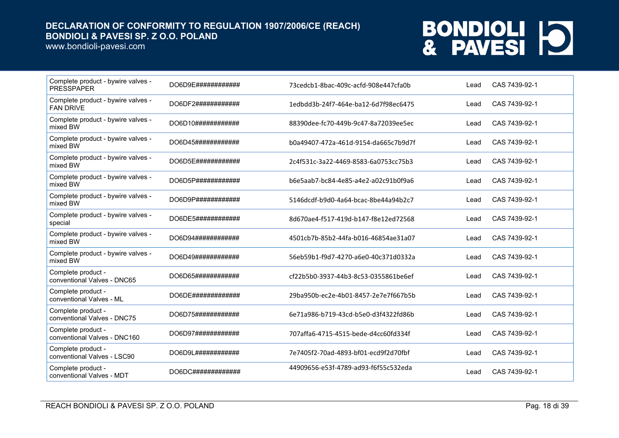www.bondioli-pavesi.com

| Complete product - bywire valves -<br><b>PRESSPAPER</b> | DO6D9E############  | 73cedcb1-8bac-409c-acfd-908e447cfa0b | Lead | CAS 7439-92-1 |
|---------------------------------------------------------|---------------------|--------------------------------------|------|---------------|
| Complete product - bywire valves -<br><b>FAN DRIVE</b>  | DO6DF2############  | 1edbdd3b-24f7-464e-ba12-6d7f98ec6475 | Lead | CAS 7439-92-1 |
| Complete product - bywire valves -<br>mixed BW          | DO6D10############  | 88390dee-fc70-449b-9c47-8a72039ee5ec | Lead | CAS 7439-92-1 |
| Complete product - bywire valves -<br>mixed BW          | DO6D45############  | b0a49407-472a-461d-9154-da665c7b9d7f | Lead | CAS 7439-92-1 |
| Complete product - bywire valves -<br>mixed BW          | DO6D5E############  | 2c4f531c-3a22-4469-8583-6a0753cc75b3 | Lead | CAS 7439-92-1 |
| Complete product - bywire valves -<br>mixed BW          | DO6D5P############  | b6e5aab7-bc84-4e85-a4e2-a02c91b0f9a6 | Lead | CAS 7439-92-1 |
| Complete product - bywire valves -<br>mixed BW          | DO6D9P############  | 5146dcdf-b9d0-4a64-bcac-8be44a94b2c7 | Lead | CAS 7439-92-1 |
| Complete product - bywire valves -<br>special           | DO6DE5############# | 8d670ae4-f517-419d-b147-f8e12ed72568 | Lead | CAS 7439-92-1 |
| Complete product - bywire valves -<br>mixed BW          | DO6D94############  | 4501cb7b-85b2-44fa-b016-46854ae31a07 | Lead | CAS 7439-92-1 |
| Complete product - bywire valves -<br>mixed BW          | DO6D49############  | 56eb59b1-f9d7-4270-a6e0-40c371d0332a | Lead | CAS 7439-92-1 |
| Complete product -<br>conventional Valves - DNC65       | DO6D65############  | cf22b5b0-3937-44b3-8c53-0355861be6ef | Lead | CAS 7439-92-1 |
| Complete product -<br>conventional Valves - ML          | DO6DE#############  | 29ba950b-ec2e-4b01-8457-2e7e7f667b5b | Lead | CAS 7439-92-1 |
| Complete product -<br>conventional Valves - DNC75       | DO6D75############  | 6e71a986-b719-43cd-b5e0-d3f4322fd86b | Lead | CAS 7439-92-1 |
| Complete product -<br>conventional Valves - DNC160      | DO6D97############# | 707affa6-4715-4515-bede-d4cc60fd334f | Lead | CAS 7439-92-1 |
| Complete product -<br>conventional Valves - LSC90       | DO6D9L############  | 7e7405f2-70ad-4893-bf01-ecd9f2d70fbf | Lead | CAS 7439-92-1 |
| Complete product -<br>conventional Valves - MDT         | DO6DC#############  | 44909656-e53f-4789-ad93-f6f55c532eda | Lead | CAS 7439-92-1 |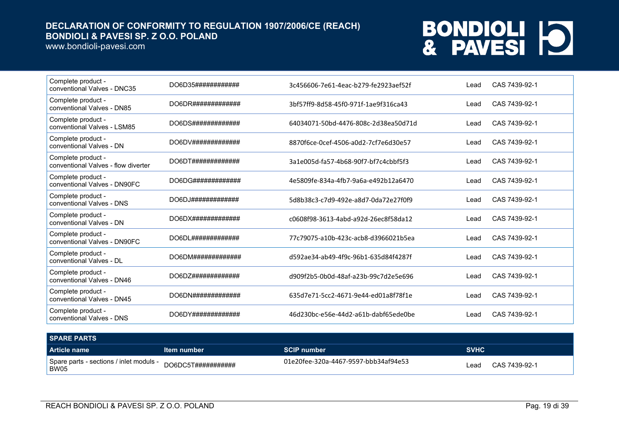www.bondioli-pavesi.com

| Complete product -<br>conventional Valves - DNC35         | DO6D35#############                 | 3c456606-7e61-4eac-b279-fe2923aef52f | Lead | CAS 7439-92-1 |
|-----------------------------------------------------------|-------------------------------------|--------------------------------------|------|---------------|
| Complete product -<br>conventional Valves - DN85          | DO6DR#############                  | 3bf57ff9-8d58-45f0-971f-1ae9f316ca43 | Lead | CAS 7439-92-1 |
| Complete product -<br>conventional Valves - LSM85         | DO6DS#############                  | 64034071-50bd-4476-808c-2d38ea50d71d | Lead | CAS 7439-92-1 |
| Complete product -<br>conventional Valves - DN            |                                     | 8870f6ce-0cef-4506-a0d2-7cf7e6d30e57 | Lead | CAS 7439-92-1 |
| Complete product -<br>conventional Valves - flow diverter | DO6DT#############                  | 3a1e005d-fa57-4b68-90f7-bf7c4cbbf5f3 | Lead | CAS 7439-92-1 |
| Complete product -<br>conventional Valves - DN90FC        | DO6DG#############                  | 4e5809fe-834a-4fb7-9a6a-e492b12a6470 | Lead | CAS 7439-92-1 |
| Complete product -<br>conventional Valves - DNS           | DO6DJ#############                  | 5d8b38c3-c7d9-492e-a8d7-0da72e27f0f9 | Lead | CAS 7439-92-1 |
| Complete product -<br>conventional Valves - DN            | DO6D X# # # # # # # # # # # # # # # | c0608f98-3613-4abd-a92d-26ec8f58da12 | Lead | CAS 7439-92-1 |
| Complete product -<br>conventional Valves - DN90FC        | DO6DL#############                  | 77c79075-a10b-423c-acb8-d3966021b5ea | Lead | CAS 7439-92-1 |
| Complete product -<br>conventional Valves - DL            | DO6DM#############                  | d592ae34-ab49-4f9c-96b1-635d84f4287f | Lead | CAS 7439-92-1 |
| Complete product -<br>conventional Valves - DN46          | DO6DZ#############                  | d909f2b5-0b0d-48af-a23b-99c7d2e5e696 | Lead | CAS 7439-92-1 |
| Complete product -<br>conventional Valves - DN45          | DO6DN#############                  | 635d7e71-5cc2-4671-9e44-ed01a8f78f1e | Lead | CAS 7439-92-1 |
| Complete product -<br>conventional Valves - DNS           | DO6DY#############                  | 46d230bc-e56e-44d2-a61b-dabf65ede0be | Lead | CAS 7439-92-1 |

| <b>SPARE PARTS</b>                              |                                |                                      |             |               |
|-------------------------------------------------|--------------------------------|--------------------------------------|-------------|---------------|
| Article name                                    | ltem number                    | <b>SCIP number</b>                   | <b>SVHC</b> |               |
| Spare parts - sections / inlet moduls -<br>BW05 | $DO6DC5T\#4\#4\#4\#4\#4\#4\#4$ | 01e20fee-320a-4467-9597-bbb34af94e53 | _ead        | CAS 7439-92-1 |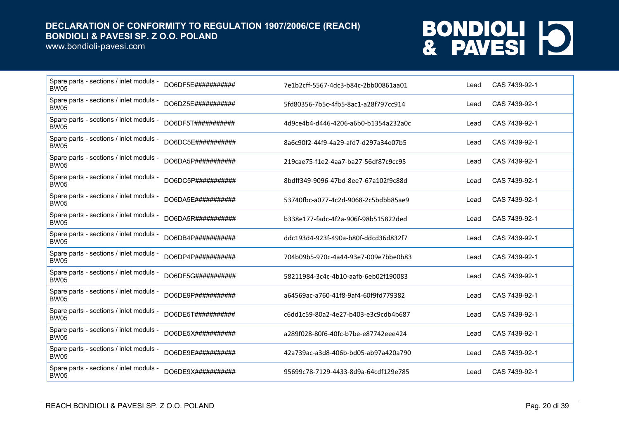www.bondioli-pavesi.com

| Spare parts - sections / inlet moduls -<br><b>BW05</b> | DO6DF5E###########  | 7e1b2cff-5567-4dc3-b84c-2bb00861aa01 | Lead | CAS 7439-92-1 |
|--------------------------------------------------------|---------------------|--------------------------------------|------|---------------|
| Spare parts - sections / inlet moduls -<br><b>BW05</b> | DO6DZ5E###########  | 5fd80356-7b5c-4fb5-8ac1-a28f797cc914 | Lead | CAS 7439-92-1 |
| Spare parts - sections / inlet moduls -<br><b>BW05</b> | DO6DF5T###########  | 4d9ce4b4-d446-4206-a6b0-b1354a232a0c | Lead | CAS 7439-92-1 |
| Spare parts - sections / inlet moduls -<br><b>BW05</b> | DO6DC5E############ | 8a6c90f2-44f9-4a29-afd7-d297a34e07b5 | Lead | CAS 7439-92-1 |
| Spare parts - sections / inlet moduls -<br><b>BW05</b> | DO6DA5P###########  | 219cae75-f1e2-4aa7-ba27-56df87c9cc95 | Lead | CAS 7439-92-1 |
| Spare parts - sections / inlet moduls -<br><b>BW05</b> | DO6DC5P###########  | 8bdff349-9096-47bd-8ee7-67a102f9c88d | Lead | CAS 7439-92-1 |
| Spare parts - sections / inlet moduls -<br><b>BW05</b> | DO6DA5E###########  | 53740fbc-a077-4c2d-9068-2c5bdbb85ae9 | Lead | CAS 7439-92-1 |
| Spare parts - sections / inlet moduls -<br><b>BW05</b> | DO6DA5R###########  | b338e177-fadc-4f2a-906f-98b515822ded | Lead | CAS 7439-92-1 |
| Spare parts - sections / inlet moduls -<br><b>BW05</b> | DO6DB4P###########  | ddc193d4-923f-490a-b80f-ddcd36d832f7 | Lead | CAS 7439-92-1 |
| Spare parts - sections / inlet moduls -<br><b>BW05</b> | DO6DP4P###########  | 704b09b5-970c-4a44-93e7-009e7bbe0b83 | Lead | CAS 7439-92-1 |
| Spare parts - sections / inlet moduls -<br><b>BW05</b> | DO6DF5G###########  | 58211984-3c4c-4b10-aafb-6eb02f190083 | Lead | CAS 7439-92-1 |
| Spare parts - sections / inlet moduls -<br><b>BW05</b> | DO6DE9P###########  | a64569ac-a760-41f8-9af4-60f9fd779382 | Lead | CAS 7439-92-1 |
| Spare parts - sections / inlet moduls -<br><b>BW05</b> | DO6DE5T###########  | c6dd1c59-80a2-4e27-b403-e3c9cdb4b687 | Lead | CAS 7439-92-1 |
| Spare parts - sections / inlet moduls -<br><b>BW05</b> | DO6DE5X############ | a289f028-80f6-40fc-b7be-e87742eee424 | Lead | CAS 7439-92-1 |
| Spare parts - sections / inlet moduls -<br><b>BW05</b> | DO6DE9E###########  | 42a739ac-a3d8-406b-bd05-ab97a420a790 | Lead | CAS 7439-92-1 |
| Spare parts - sections / inlet moduls -<br><b>BW05</b> | DO6DE9X###########  | 95699c78-7129-4433-8d9a-64cdf129e785 | Lead | CAS 7439-92-1 |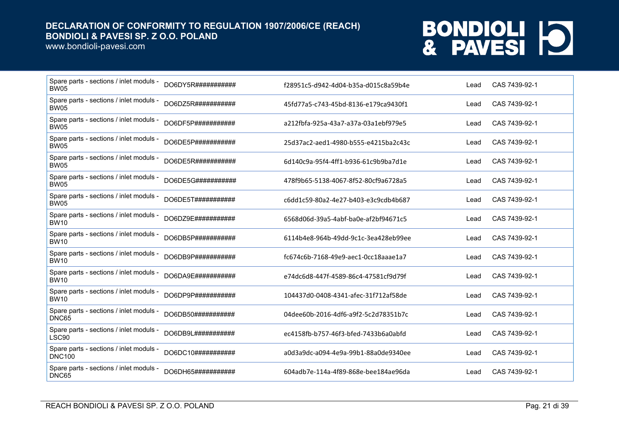www.bondioli-pavesi.com

| Spare parts - sections / inlet moduls -<br><b>BW05</b>   | DO6DY5R###########  | f28951c5-d942-4d04-b35a-d015c8a59b4e | Lead | CAS 7439-92-1 |
|----------------------------------------------------------|---------------------|--------------------------------------|------|---------------|
| Spare parts - sections / inlet moduls -<br><b>BW05</b>   | DO6DZ5R###########  | 45fd77a5-c743-45bd-8136-e179ca9430f1 | Lead | CAS 7439-92-1 |
| Spare parts - sections / inlet moduls -<br><b>BW05</b>   | DO6DF5P###########  | a212fbfa-925a-43a7-a37a-03a1ebf979e5 | Lead | CAS 7439-92-1 |
| Spare parts - sections / inlet moduls -<br><b>BW05</b>   | DO6DE5P###########  | 25d37ac2-aed1-4980-b555-e4215ba2c43c | Lead | CAS 7439-92-1 |
| Spare parts - sections / inlet moduls -<br><b>BW05</b>   | DO6DE5R###########  | 6d140c9a-95f4-4ff1-b936-61c9b9ba7d1e | Lead | CAS 7439-92-1 |
| Spare parts - sections / inlet moduls -<br><b>BW05</b>   | DO6DE5G############ | 478f9b65-5138-4067-8f52-80cf9a6728a5 | Lead | CAS 7439-92-1 |
| Spare parts - sections / inlet moduls -<br><b>BW05</b>   | DO6DE5T###########  | c6dd1c59-80a2-4e27-b403-e3c9cdb4b687 | Lead | CAS 7439-92-1 |
| Spare parts - sections / inlet moduls -<br><b>BW10</b>   | DO6DZ9E###########  | 6568d06d-39a5-4abf-ba0e-af2bf94671c5 | Lead | CAS 7439-92-1 |
| Spare parts - sections / inlet moduls -<br><b>BW10</b>   | DO6DB5P###########  | 6114b4e8-964b-49dd-9c1c-3ea428eb99ee | Lead | CAS 7439-92-1 |
| Spare parts - sections / inlet moduls -<br><b>BW10</b>   | DO6DB9P###########  | fc674c6b-7168-49e9-aec1-0cc18aaae1a7 | Lead | CAS 7439-92-1 |
| Spare parts - sections / inlet moduls -<br><b>BW10</b>   | DO6DA9E###########  | e74dc6d8-447f-4589-86c4-47581cf9d79f | Lead | CAS 7439-92-1 |
| Spare parts - sections / inlet moduls -<br><b>BW10</b>   | DO6DP9P############ | 104437d0-0408-4341-afec-31f712af58de | Lead | CAS 7439-92-1 |
| Spare parts - sections / inlet moduls -<br>DNC65         | DO6DB50###########  | 04dee60b-2016-4df6-a9f2-5c2d78351b7c | Lead | CAS 7439-92-1 |
| Spare parts - sections / inlet moduls -<br>LSC90         | DO6DB9L############ | ec4158fb-b757-46f3-bfed-7433b6a0abfd | Lead | CAS 7439-92-1 |
| Spare parts - sections / inlet moduls -<br><b>DNC100</b> | DO6DC10###########  | a0d3a9dc-a094-4e9a-99b1-88a0de9340ee | Lead | CAS 7439-92-1 |
| Spare parts - sections / inlet moduls -<br>DNC65         | DO6DH65###########  | 604adb7e-114a-4f89-868e-bee184ae96da | Lead | CAS 7439-92-1 |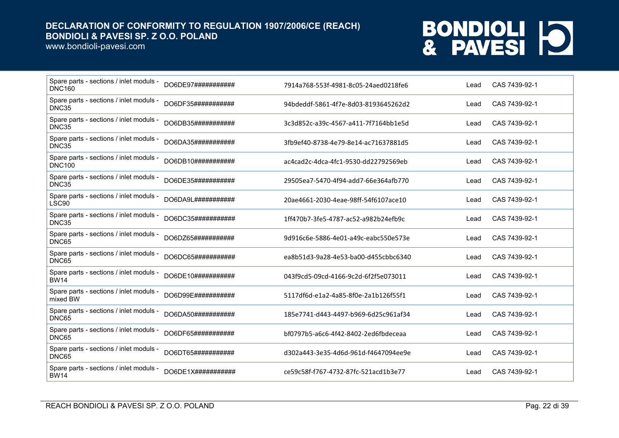www.bondioli-pavesi.com

| Spare parts - sections / inlet moduls -<br><b>DNC160</b> | DO6DE97###########         | 7914a768-553f-4981-8c05-24aed0218fe6 | Lead | CAS 7439-92-1 |
|----------------------------------------------------------|----------------------------|--------------------------------------|------|---------------|
| Spare parts - sections / inlet moduls -<br>DNC35         | DO6DF35############        | 94bdeddf-5861-4f7e-8d03-8193645262d2 | Lead | CAS 7439-92-1 |
| Spare parts - sections / inlet moduls -<br>DNC35         | DO6DB35###########         | 3c3d852c-a39c-4567-a411-7f7164bb1e5d | Lead | CAS 7439-92-1 |
| Spare parts - sections / inlet moduls -<br>DNC35         | DO6DA35###########         | 3fb9ef40-8738-4e79-8e14-ac71637881d5 | Lead | CAS 7439-92-1 |
| Spare parts - sections / inlet moduls -<br><b>DNC100</b> | DO6DB10###########         | ac4cad2c-4dca-4fc1-9530-dd22792569eb | Lead | CAS 7439-92-1 |
| Spare parts - sections / inlet moduls -<br>DNC35         | DO6DE35###########         | 29505ea7-5470-4f94-add7-66e364afb770 | Lead | CAS 7439-92-1 |
| Spare parts - sections / inlet moduls -<br>LSC90         | DO6DA9L###########         | 20ae4661-2030-4eae-98ff-54f6107ace10 | Lead | CAS 7439-92-1 |
| Spare parts - sections / inlet moduls -<br>DNC35         | DO6DC35############        | 1ff470b7-3fe5-4787-ac52-a982b24efb9c | Lead | CAS 7439-92-1 |
| Spare parts - sections / inlet moduls -<br>DNC65         | DO6DZ65###########         | 9d916c6e-5886-4e01-a49c-eabc550e573e | Lead | CAS 7439-92-1 |
| Spare parts - sections / inlet moduls -<br>DNC65         | DO6DC65###########         | ea8b51d3-9a28-4e53-ba00-d455cbbc6340 | Lead | CAS 7439-92-1 |
| Spare parts - sections / inlet moduls -<br><b>BW14</b>   | DO6DE10###########         | 043f9cd5-09cd-4166-9c2d-6f2f5e073011 | Lead | CAS 7439-92-1 |
| Spare parts - sections / inlet moduls -<br>mixed BW      | DO6D99E###########         | 5117df6d-e1a2-4a85-8f0e-2a1b126f55f1 | Lead | CAS 7439-92-1 |
| Spare parts - sections / inlet moduls -<br>DNC65         | DO6DA50###########         | 185e7741-d443-4497-b969-6d25c961af34 | Lead | CAS 7439-92-1 |
| Spare parts - sections / inlet moduls -<br>DNC65         | DO6DF65############        | bf0797b5-a6c6-4f42-8402-2ed6fbdeceaa | Lead | CAS 7439-92-1 |
| Spare parts - sections / inlet moduls -<br>DNC65         | DO6DT65###########         | d302a443-3e35-4d6d-961d-f4647094ee9e | Lead | CAS 7439-92-1 |
| Spare parts - sections / inlet moduls -<br><b>BW14</b>   | $DO6DE1X\#444444444444444$ | ce59c58f-f767-4732-87fc-521acd1b3e77 | Lead | CAS 7439-92-1 |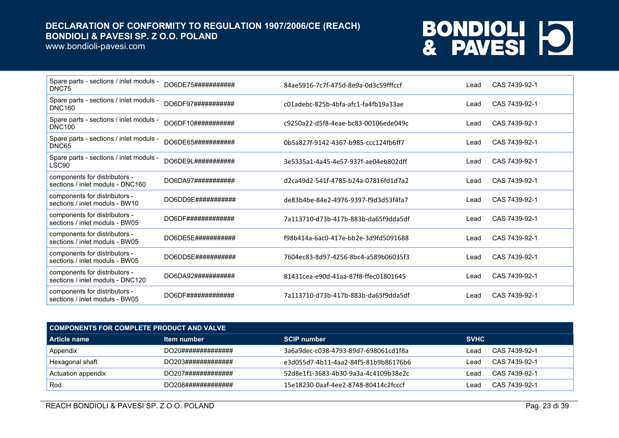www.bondioli-pavesi.com

| Spare parts - sections / inlet moduls -<br>DNC75                  | DO6DE75###########  | 84ae5916-7c7f-475d-8e9a-0d3c59fffccf | Lead | CAS 7439-92-1 |
|-------------------------------------------------------------------|---------------------|--------------------------------------|------|---------------|
| Spare parts - sections / inlet moduls -<br><b>DNC160</b>          | DO6DF97############ | c01adebc-825b-4bfa-afc1-fa4fb19a33ae | Lead | CAS 7439-92-1 |
| Spare parts - sections / inlet moduls -<br><b>DNC100</b>          | DO6DF10###########  | c9250a22-d5f8-4eae-bc83-00106ede049c | Lead | CAS 7439-92-1 |
| Spare parts - sections / inlet moduls -<br>DNC65                  | DO6DE65###########  | 0b5a827f-9142-4367-b985-ccc124fb6ff7 | Lead | CAS 7439-92-1 |
| Spare parts - sections / inlet moduls -<br>LSC90                  | DO6DE9L############ | 3e5335a1-4a45-4e57-937f-ae04eb802dff | Lead | CAS 7439-92-1 |
| components for distributors -<br>sections / inlet moduls - DNC160 | DO6DA97###########  | d2ca49d2-541f-4785-b24a-07816fd1d7a2 | Lead | CAS 7439-92-1 |
| components for distributors -<br>sections / inlet moduls - BW10   | DO6DD9E###########  | de83b4be-84e2-4976-9397-f9d3d53f4fa7 | Lead | CAS 7439-92-1 |
| components for distributors -<br>sections / inlet moduls - BW05   | DO6DF#############  | 7a113710-d73b-417b-883b-da65f9dda5df | Lead | CAS 7439-92-1 |
| components for distributors -<br>sections / inlet moduls - BW05   | DO6DE5E###########  | f98b414a-6ac0-417e-bb2e-3d9fd5091688 | Lead | CAS 7439-92-1 |
| components for distributors -<br>sections / inlet moduls - BW05   | DO6DD5E###########  | 7604ec83-8d97-4256-8bc4-a589b06035f3 | Lead | CAS 7439-92-1 |
| components for distributors -<br>sections / inlet moduls - DNC120 | DO6DA92############ | 81431cea-e90d-41aa-87f8-ffec01801645 | Lead | CAS 7439-92-1 |
| components for distributors -<br>sections / inlet moduls - BW05   | DO6DF#############  | 7a113710-d73b-417b-883b-da65f9dda5df | Lead | CAS 7439-92-1 |

| COMPONENTS FOR COMPLETE PRODUCT AND VALVE |                    |                                      |             |               |  |
|-------------------------------------------|--------------------|--------------------------------------|-------------|---------------|--|
| l Article name                            | Item number        | <b>SCIP number</b>                   | <b>SVHC</b> |               |  |
| Appendix                                  | DO20############## | 3a6a9dec-c038-4793-89d7-698061cd1f8a | ∟ead        | CAS 7439-92-1 |  |
| Hexagonal shaft                           | DO203############# | e3d055d7-4b11-4aa2-84f5-81b9b86176b6 | ∟ead        | CAS 7439-92-1 |  |
| Actuation appendix                        | DO207############# | 52d8e1f1-3683-4b30-9a3a-4c4109b38e2c | ∟ead        | CAS 7439-92-1 |  |
| Rod                                       | DO208############# | 15e18230-0aaf-4ee2-8748-80414c2fcccf | _eac        | CAS 7439-92-1 |  |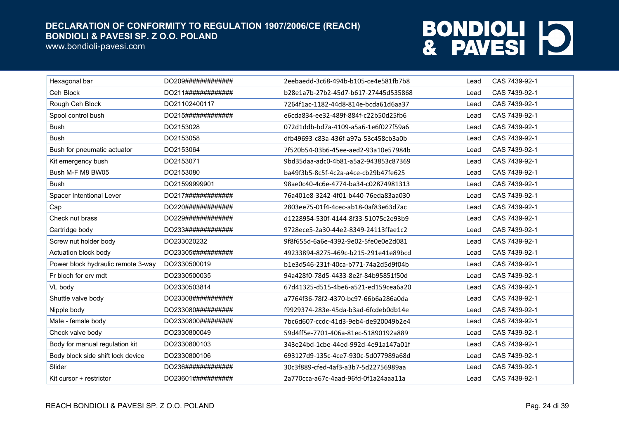www.bondioli-pavesi.com

| Hexagonal bar                      | DO209############# | 2eebaedd-3c68-494b-b105-ce4e581fb7b8 | Lead | CAS 7439-92-1 |
|------------------------------------|--------------------|--------------------------------------|------|---------------|
| Ceh Block                          | DO211############# | b28e1a7b-27b2-45d7-b617-27445d535868 | Lead | CAS 7439-92-1 |
| Rough Ceh Block                    | DO21102400117      | 7264f1ac-1182-44d8-814e-bcda61d6aa37 | Lead | CAS 7439-92-1 |
| Spool control bush                 | DO215############# | e6cda834-ee32-489f-884f-c22b50d25fb6 | Lead | CAS 7439-92-1 |
| <b>Bush</b>                        | DO2153028          | 072d1ddb-bd7a-4109-a5a6-1e6f027f59a6 | Lead | CAS 7439-92-1 |
| <b>Bush</b>                        | DO2153058          | dfb49693-c83a-436f-a97a-53c458cb3a0b | Lead | CAS 7439-92-1 |
| Bush for pneumatic actuator        | DO2153064          | 7f520b54-03b6-45ee-aed2-93a10e57984b | Lead | CAS 7439-92-1 |
| Kit emergency bush                 | DO2153071          | 9bd35daa-adc0-4b81-a5a2-943853c87369 | Lead | CAS 7439-92-1 |
| Bush M-F M8 BW05                   | DO2153080          | ba49f3b5-8c5f-4c2a-a4ce-cb29b47fe625 | Lead | CAS 7439-92-1 |
| <b>Bush</b>                        | DO21599999901      | 98ae0c40-4c6e-4774-ba34-c02874981313 | Lead | CAS 7439-92-1 |
| Spacer Intentional Lever           | DO217############# | 76a401e8-3242-4f01-b440-76eda83aa030 | Lead | CAS 7439-92-1 |
| Cap                                | DO220############# | 2803ee75-01f4-4cec-ab18-0af83e63d7ac | Lead | CAS 7439-92-1 |
| Check nut brass                    | DO229############# | d1228954-530f-4144-8f33-51075c2e93b9 | Lead | CAS 7439-92-1 |
| Cartridge body                     | DO233############# | 9728ece5-2a30-44e2-8349-24113ffae1c2 | Lead | CAS 7439-92-1 |
| Screw nut holder body              | DO233020232        | 9f8f655d-6a6e-4392-9e02-5fe0e0e2d081 | Lead | CAS 7439-92-1 |
| Actuation block body               | DO23305########### | 49233894-8275-469c-b215-291e41e89bcd | Lead | CAS 7439-92-1 |
| Power block hydraulic remote 3-way | DO2330500019       | b1e3d546-231f-40ca-b771-74a2d5d9f04b | Lead | CAS 7439-92-1 |
| Fr bloch for erv mdt               | DO2330500035       | 94a428f0-78d5-4433-8e2f-84b95851f50d | Lead | CAS 7439-92-1 |
| VL body                            | DO2330503814       | 67d41325-d515-4be6-a521-ed159cea6a20 | Lead | CAS 7439-92-1 |
| Shuttle valve body                 | DO23308########### | a7764f36-78f2-4370-bc97-66b6a286a0da | Lead | CAS 7439-92-1 |
| Nipple body                        | DO233080########## | f9929374-283e-45da-b3ad-6fcdeb0db14e | Lead | CAS 7439-92-1 |
| Male - female body                 | DO2330800######### | 7bc6d607-ccdc-41d3-9eb4-de920049b2e4 | Lead | CAS 7439-92-1 |
| Check valve body                   | DO2330800049       | 59d4ff5e-7701-406a-81ec-51890192a889 | Lead | CAS 7439-92-1 |
| Body for manual regulation kit     | DO2330800103       | 343e24bd-1cbe-44ed-992d-4e91a147a01f | Lead | CAS 7439-92-1 |
| Body block side shift lock device  | DO2330800106       | 693127d9-135c-4ce7-930c-5d077989a68d | Lead | CAS 7439-92-1 |
| Slider                             | DO236############# | 30c3f889-cfed-4af3-a3b7-5d22756989aa | Lead | CAS 7439-92-1 |
| Kit cursor + restrictor            | DO23601########### | 2a770cca-a67c-4aad-96fd-0f1a24aaa11a | Lead | CAS 7439-92-1 |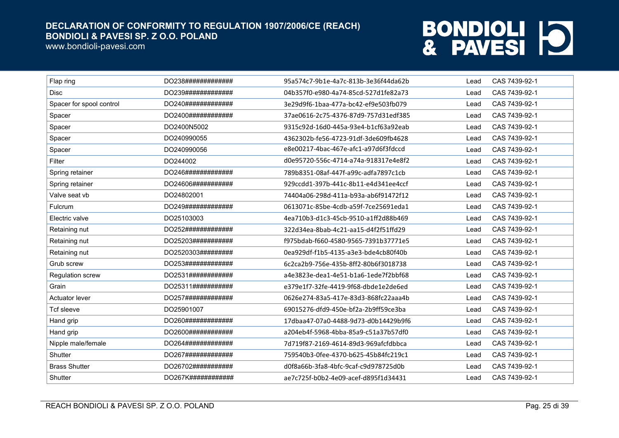www.bondioli-pavesi.com

| Flap ring                | DO238############# | 95a574c7-9b1e-4a7c-813b-3e36f44da62b | Lead | CAS 7439-92-1 |
|--------------------------|--------------------|--------------------------------------|------|---------------|
| <b>Disc</b>              | DO239############# | 04b357f0-e980-4a74-85cd-527d1fe82a73 | Lead | CAS 7439-92-1 |
| Spacer for spool control | DO240############# | 3e29d9f6-1baa-477a-bc42-ef9e503fb079 | Lead | CAS 7439-92-1 |
| Spacer                   | DO2400############ | 37ae0616-2c75-4376-87d9-757d31edf385 | Lead | CAS 7439-92-1 |
| Spacer                   | DO2400N5002        | 9315c92d-16d0-445a-93e4-b1cf63a92eab | Lead | CAS 7439-92-1 |
| Spacer                   | DO240990055        | 4362302b-fe56-4723-91df-3de609fb4628 | Lead | CAS 7439-92-1 |
| Spacer                   | DO240990056        | e8e00217-4bac-467e-afc1-a97d6f3fdccd | Lead | CAS 7439-92-1 |
| Filter                   | DO244002           | d0e95720-556c-4714-a74a-918317e4e8f2 | Lead | CAS 7439-92-1 |
| Spring retainer          | DO246############# | 789b8351-08af-447f-a99c-adfa7897c1cb | Lead | CAS 7439-92-1 |
| Spring retainer          | DO24606########### | 929ccdd1-397b-441c-8b11-e4d341ee4ccf | Lead | CAS 7439-92-1 |
| Valve seat vb            | DO24802001         | 74404a06-298d-411a-b93a-ab6f91472f12 | Lead | CAS 7439-92-1 |
| Fulcrum                  | DO249############# | 0613071c-85be-4cdb-a59f-7ce25691eda1 | Lead | CAS 7439-92-1 |
| Electric valve           | DO25103003         | 4ea710b3-d1c3-45cb-9510-a1ff2d88b469 | Lead | CAS 7439-92-1 |
| Retaining nut            | DO252############# | 322d34ea-8bab-4c21-aa15-d4f2f51ffd29 | Lead | CAS 7439-92-1 |
| Retaining nut            | DO25203########### | f975bdab-f660-4580-9565-7391b37771e5 | Lead | CAS 7439-92-1 |
| Retaining nut            | DO2520303######### | 0ea929df-f1b5-4135-a3e3-bde4cb80f40b | Lead | CAS 7439-92-1 |
| Grub screw               | DO253############# | 6c2ca2b9-756e-435b-8ff2-80b6f3018738 | Lead | CAS 7439-92-1 |
| Regulation screw         | DO2531############ | a4e3823e-dea1-4e51-b1a6-1ede7f2bbf68 | Lead | CAS 7439-92-1 |
| Grain                    | DO25311########### | e379e1f7-32fe-4419-9f68-dbde1e2de6ed | Lead | CAS 7439-92-1 |
| <b>Actuator lever</b>    | DO257############# | 0626e274-83a5-417e-83d3-868fc22aaa4b | Lead | CAS 7439-92-1 |
| Tcf sleeve               | DO25901007         | 69015276-dfd9-450e-bf2a-2b9ff59ce3ba | Lead | CAS 7439-92-1 |
| Hand grip                | DO260############# | 17dbaa47-07a0-4488-9d73-d0b14429b9f6 | Lead | CAS 7439-92-1 |
| Hand grip                | DO2600############ | a204eb4f-5968-4bba-85a9-c51a37b57df0 | Lead | CAS 7439-92-1 |
| Nipple male/female       | DO264############# | 7d719f87-2169-4614-89d3-969afcfdbbca | Lead | CAS 7439-92-1 |
| Shutter                  | DO267############# | 759540b3-0fee-4370-b625-45b84fc219c1 | Lead | CAS 7439-92-1 |
| <b>Brass Shutter</b>     | DO26702########### | d0f8a66b-3fa8-4bfc-9caf-c9d978725d0b | Lead | CAS 7439-92-1 |
| Shutter                  | DO267K############ | ae7c725f-b0b2-4e09-acef-d895f1d34431 | Lead | CAS 7439-92-1 |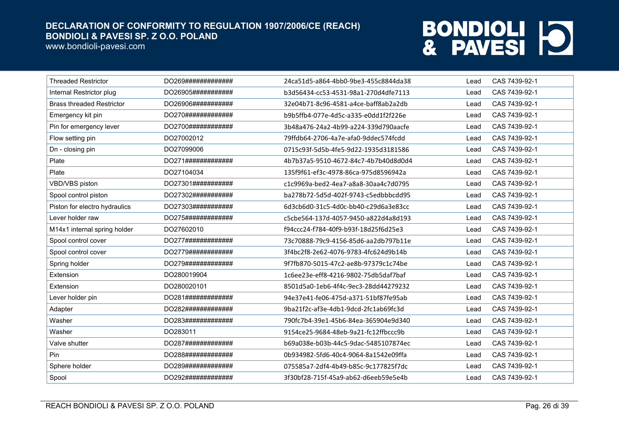www.bondioli-pavesi.com

| <b>Threaded Restrictor</b>       | DO269#############  | 24ca51d5-a864-4bb0-9be3-455c8844da38 | Lead | CAS 7439-92-1 |
|----------------------------------|---------------------|--------------------------------------|------|---------------|
| Internal Restrictor plug         | DO26905###########  | b3d56434-cc53-4531-98a1-270d4dfe7113 | Lead | CAS 7439-92-1 |
| <b>Brass threaded Restrictor</b> | DO26906############ | 32e04b71-8c96-4581-a4ce-baff8ab2a2db | Lead | CAS 7439-92-1 |
| Emergency kit pin                | DO270#############  | b9b5ffb4-077e-4d5c-a335-e0dd1f2f226e | Lead | CAS 7439-92-1 |
| Pin for emergency lever          | DO2700############  | 3b48a476-24a2-4b99-a224-339d790aacfe | Lead | CAS 7439-92-1 |
| Flow setting pin                 | DO27002012          | 79ffdb64-2706-4a7e-afa0-9ddec574fcdd | Lead | CAS 7439-92-1 |
| Dn - closing pin                 | DO27099006          | 0715c93f-5d5b-4fe5-9d22-1935d3181586 | Lead | CAS 7439-92-1 |
| Plate                            | DO271#############  | 4b7b37a5-9510-4672-84c7-4b7b40d8d0d4 | Lead | CAS 7439-92-1 |
| Plate                            | DO27104034          | 135f9f61-ef3c-4978-86ca-975d8596942a | Lead | CAS 7439-92-1 |
| VBD/VBS piston                   | DO27301###########  | c1c9969a-bed2-4ea7-a8a8-30aa4c7d0795 | Lead | CAS 7439-92-1 |
| Spool control piston             | DO27302###########  | ba278b72-5d5d-402f-9743-c5edbbbcdd95 | Lead | CAS 7439-92-1 |
| Piston for electro hydraulics    | DO27303###########  | 6d3cb6d0-31c5-4d0c-bb40-c29d6a3e83cc | Lead | CAS 7439-92-1 |
| Lever holder raw                 | DO275#############  | c5cbe564-137d-4057-9450-a822d4a8d193 | Lead | CAS 7439-92-1 |
| M14x1 internal spring holder     | DO27602010          | f94ccc24-f784-40f9-b93f-18d25f6d25e3 | Lead | CAS 7439-92-1 |
| Spool control cover              | DO277#############  | 73c70888-79c9-4156-85d6-aa2db797b11e | Lead | CAS 7439-92-1 |
| Spool control cover              | DO2779############  | 3f4bc2f8-2e62-4076-9783-4fc624d9b14b | Lead | CAS 7439-92-1 |
| Spring holder                    | DO279#############  | 9f7fb870-5015-47c2-ae8b-97379c1c74be | Lead | CAS 7439-92-1 |
| Extension                        | DO280019904         | 1c6ee23e-eff8-4216-9802-75db5daf7baf | Lead | CAS 7439-92-1 |
| Extension                        | DO280020101         | 8501d5a0-1eb6-4f4c-9ec3-28dd44279232 | Lead | CAS 7439-92-1 |
| Lever holder pin                 | DO281#############  | 94e37e41-fe06-475d-a371-51bf87fe95ab | Lead | CAS 7439-92-1 |
| Adapter                          | DO282#############  | 9ba21f2c-af3e-4db1-9dcd-2fc1ab69fc3d | Lead | CAS 7439-92-1 |
| Washer                           | DO283#############  | 790fc7b4-39e1-45b6-84ea-365904e9d340 | Lead | CAS 7439-92-1 |
| Washer                           | DO283011            | 9154ce25-9684-48eb-9a21-fc12ffbccc9b | Lead | CAS 7439-92-1 |
| Valve shutter                    | DO287#############  | b69a038e-b03b-44c5-9dac-5485107874ec | Lead | CAS 7439-92-1 |
| Pin                              | DO288#############  | 0b934982-5fd6-40c4-9064-8a1542e09ffa | Lead | CAS 7439-92-1 |
| Sphere holder                    | DO289#############  | 075585a7-2df4-4b49-b85c-9c177825f7dc | Lead | CAS 7439-92-1 |
| Spool                            | DO292#############  | 3f30bf28-715f-45a9-ab62-d6eeb59e5e4b | Lead | CAS 7439-92-1 |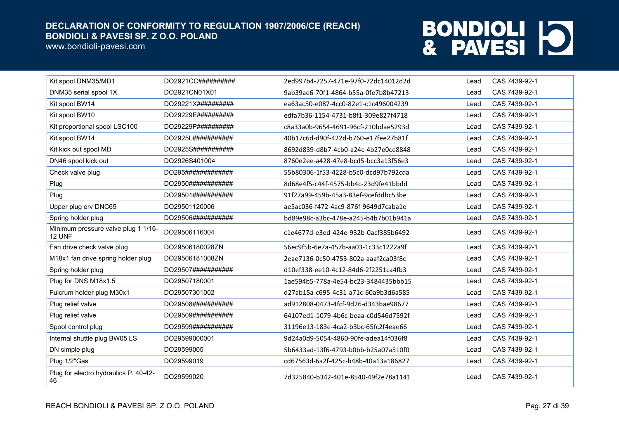www.bondioli-pavesi.com



| Kit spool DNM35/MD1                           | DO2921CC########## | 2ed997b4-7257-471e-97f0-72dc14012d2d | Lead | CAS 7439-92-1 |
|-----------------------------------------------|--------------------|--------------------------------------|------|---------------|
| DNM35 serial spool 1X                         | DO2921CN01X01      | 9ab39ae6-70f1-4864-b55a-0fe7b8b47213 | Lead | CAS 7439-92-1 |
| Kit spool BW14                                | DO29221X########## | ea63ac50-e087-4cc0-82e1-c1c496004239 | Lead | CAS 7439-92-1 |
| Kit spool BW10                                | DO29229E########## | edfa7b36-1154-4731-b8f1-309e827f4718 | Lead | CAS 7439-92-1 |
| Kit proportional spool LSC100                 | DO29229P########## | c8a33a0b-9654-4691-96cf-210bdae5293d | Lead | CAS 7439-92-1 |
| Kit spool BW14                                | DO2925L########### | 40b17c6d-d90f-422d-b760-e17fee27b81f | Lead | CAS 7439-92-1 |
| Kit kick out spool MD                         | DO2925S########### | 8692d839-d8b7-4cb0-a24c-4b27e0ce8848 | Lead | CAS 7439-92-1 |
| DN46 spool kick out                           | DO2926S401004      | 8760e2ee-a428-47e8-bcd5-bcc3a13f56e3 | Lead | CAS 7439-92-1 |
| Check valve plug                              | DO295############# | 55b80306-1f53-4228-b5c0-dcd97b792cda | Lead | CAS 7439-92-1 |
| Plug                                          | DO2950############ | 8d68e4f5-c44f-4575-bb4c-23d9fe41bbdd | Lead | CAS 7439-92-1 |
| Plug                                          | DO29501########### | 91f27a99-459b-45a3-83ef-9cefddbc53be | Lead | CAS 7439-92-1 |
| Upper plug erv DNC65                          | DO29501120006      | ae5ac036-f472-4ac9-876f-9649d7caba1e | Lead | CAS 7439-92-1 |
| Spring holder plug                            | DO29506########### | bd89e98c-a3bc-478e-a245-b4b7b01b941a | Lead | CAS 7439-92-1 |
| Minimum pressure valve plug 1 1/16-<br>12 UNF | DO29506116004      | c1e4677d-e3ed-424e-932b-0acf385b6492 | Lead | CAS 7439-92-1 |
| Fan drive check valve plug                    | DO29506180028ZN    | 56ec9f5b-6e7a-457b-aa03-1c33c1222a9f | Lead | CAS 7439-92-1 |
| M18x1 fan drive spring holder plug            | DO29506181008ZN    | 2eae7136-0c50-4753-802a-aaaf2ca03f8c | Lead | CAS 7439-92-1 |
| Spring holder plug                            | DO29507########### | d10ef338-ee10-4c12-84d6-2f2251ca4fb3 | Lead | CAS 7439-92-1 |
| Plug for DNS M18x1.5                          | DO29507180001      | 1ae594b5-778a-4e54-bc23-3484435bbb15 | Lead | CAS 7439-92-1 |
| Fulcrum holder plug M30x1                     | DO29507301002      | d27ab15a-c695-4c31-a71c-60a9b3d6a585 | Lead | CAS 7439-92-1 |
| Plug relief valve                             | DO29508########### | ad912808-0473-4fcf-9d26-d343bae98677 | Lead | CAS 7439-92-1 |
| Plug relief valve                             | DO29509########### | 64107ed1-1079-4b6c-beaa-c0d546d7592f | Lead | CAS 7439-92-1 |
| Spool control plug                            | DO29599########### | 31196e13-183e-4ca2-b3bc-65fc2f4eae66 | Lead | CAS 7439-92-1 |
| Internal shuttle plug BW05 LS                 | DO29599000001      | 9d24a0d9-5054-4860-90fe-adea14f036f8 | Lead | CAS 7439-92-1 |
| DN simple plug                                | DO29599005         | 5b6433ad-13f6-4793-b0bb-b25a07a510f0 | Lead | CAS 7439-92-1 |
| Plug 1/2"Gas                                  | DO29599019         | cd67563d-6a2f-425c-b48b-40a13a186827 | Lead | CAS 7439-92-1 |
| Plug for electro hydraulics P. 40-42-<br>46   | DO29599020         | 7d325840-b342-401e-8540-49f2e78a1141 | Lead | CAS 7439-92-1 |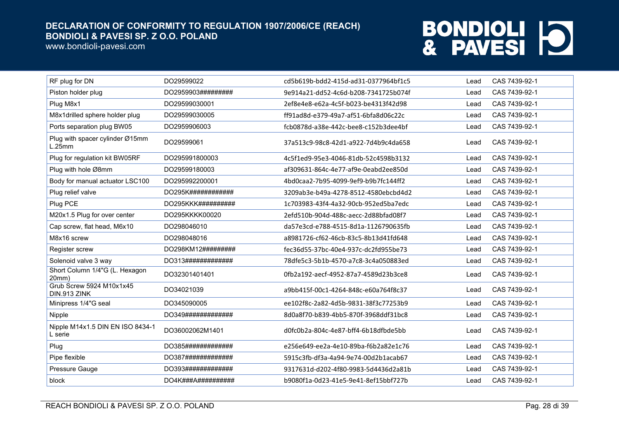www.bondioli-pavesi.com

| RF plug for DN                              | DO29599022         | cd5b619b-bdd2-415d-ad31-0377964bf1c5 | Lead | CAS 7439-92-1 |
|---------------------------------------------|--------------------|--------------------------------------|------|---------------|
| Piston holder plug                          | DO2959903######### | 9e914a21-dd52-4c6d-b208-7341725b074f | Lead | CAS 7439-92-1 |
| Plug M8x1                                   | DO29599030001      | 2ef8e4e8-e62a-4c5f-b023-be4313f42d98 | Lead | CAS 7439-92-1 |
| M8x1drilled sphere holder plug              | DO29599030005      | ff91ad8d-e379-49a7-af51-6bfa8d06c22c | Lead | CAS 7439-92-1 |
| Ports separation plug BW05                  | DO2959906003       | fcb0878d-a38e-442c-bee8-c152b3dee4bf | Lead | CAS 7439-92-1 |
| Plug with spacer cylinder Ø15mm<br>L.25mm   | DO29599061         | 37a513c9-98c8-42d1-a922-7d4b9c4da658 | Lead | CAS 7439-92-1 |
| Plug for regulation kit BW05RF              | DO295991800003     | 4c5f1ed9-95e3-4046-81db-52c4598b3132 | Lead | CAS 7439-92-1 |
| Plug with hole Ø8mm                         | DO29599180003      | af309631-864c-4e77-af9e-0eabd2ee850d | Lead | CAS 7439-92-1 |
| Body for manual actuator LSC100             | DO295992200001     | 4bd0caa2-7b95-4099-9ef9-b9b7fc144ff2 | Lead | CAS 7439-92-1 |
| Plug relief valve                           | DO295K############ | 3209ab3e-b49a-4278-8512-4580ebcbd4d2 | Lead | CAS 7439-92-1 |
| Plug PCE                                    | DO295KKK########## | 1c703983-43f4-4a32-90cb-952ed5ba7edc | Lead | CAS 7439-92-1 |
| M20x1.5 Plug for over center                | DO295KKKK00020     | 2efd510b-904d-488c-aecc-2d88bfad08f7 | Lead | CAS 7439-92-1 |
| Cap screw, flat head, M6x10                 | DO298046010        | da57e3cd-e788-4515-8d1a-1126790635fb | Lead | CAS 7439-92-1 |
| M8x16 screw                                 | DO298048016        | a8981726-cf62-46cb-83c5-8b13d41fd648 | Lead | CAS 7439-92-1 |
| Register screw                              | DO298KM12######### | fec36d55-37bc-40e4-937c-dc2fd955be73 | Lead | CAS 7439-92-1 |
| Solenoid valve 3 way                        | DO313############# | 78dfe5c3-5b1b-4570-a7c8-3c4a050883ed | Lead | CAS 7439-92-1 |
| Short Column 1/4"G (L. Hexagon<br>20mm)     | DO32301401401      | 0fb2a192-aecf-4952-87a7-4589d23b3ce8 | Lead | CAS 7439-92-1 |
| Grub Screw 5924 M10x1x45<br>DIN.913 ZINK    | DO34021039         | a9bb415f-00c1-4264-848c-e60a764f8c37 | Lead | CAS 7439-92-1 |
| Minipress 1/4"G seal                        | DO345090005        | ee102f8c-2a82-4d5b-9831-38f3c77253b9 | Lead | CAS 7439-92-1 |
| Nipple                                      | DO349############# | 8d0a8f70-b839-4bb5-870f-3968ddf31bc8 | Lead | CAS 7439-92-1 |
| Nipple M14x1.5 DIN EN ISO 8434-1<br>L serie | DO36002062M1401    | d0fc0b2a-804c-4e87-bff4-6b18dfbde5bb | Lead | CAS 7439-92-1 |
| Plug                                        | DO385############# | e256e649-ee2a-4e10-89ba-f6b2a82e1c76 | Lead | CAS 7439-92-1 |
| Pipe flexible                               | DO387############# | 5915c3fb-df3a-4a94-9e74-00d2b1acab67 | Lead | CAS 7439-92-1 |
| Pressure Gauge                              | DO393############# | 9317631d-d202-4f80-9983-5d4436d2a81b | Lead | CAS 7439-92-1 |
| block                                       | DO4K###A########## | b9080f1a-0d23-41e5-9e41-8ef15bbf727b | Lead | CAS 7439-92-1 |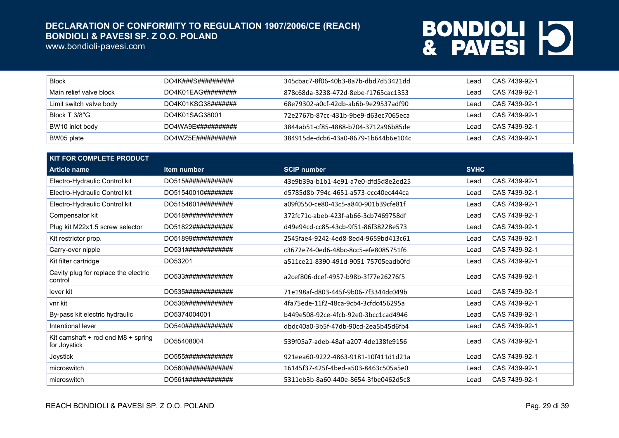www.bondioli-pavesi.com

| Block                   | DO4K###S##########  | .345cbac7-8f06-40b3-8a7b-dbd7d53421dd | _ead | CAS 7439-92-1 |
|-------------------------|---------------------|---------------------------------------|------|---------------|
| Main relief valve block | DO4K01EAG########## | 878c68da-3238-472d-8ebe-f1765cac1353  | _ead | CAS 7439-92-1 |
| Limit switch valve body | DO4K01KSG38#######  | 68e79302-a0cf-42db-ab6b-9e29537adf90  | ead  | CAS 7439-92-1 |
| Block T 3/8"G           | DO4K01SAG38001      | 72e2767b-87cc-431b-9be9-d63ec7065eca  | ead  | CAS 7439-92-1 |
| BW10 inlet body         | DO4WA9E###########  | 3844ab51-cf85-4888-b704-3712a96b85de  | ead  | CAS 7439-92-1 |
| BW05 plate              | DO4WZ5E###########  | 384915de-dcb6-43a0-8679-1b644b6e104c  | _ead | CAS 7439-92-1 |

| <b>KIT FOR COMPLETE PRODUCT</b>                    |                    |                                      |             |               |  |
|----------------------------------------------------|--------------------|--------------------------------------|-------------|---------------|--|
| <b>Article name</b>                                | Item number        | <b>SCIP number</b>                   | <b>SVHC</b> |               |  |
| Electro-Hydraulic Control kit                      | DO515############# | 43e9b39a-b1b1-4e91-a7e0-dfd5d8e2ed25 | Lead        | CAS 7439-92-1 |  |
| Electro-Hydraulic Control kit                      | DO51540010######## | d5785d8b-794c-4651-a573-ecc40ec444ca | Lead        | CAS 7439-92-1 |  |
| Electro-Hydraulic Control kit                      | DO5154601######### | a09f0550-ce80-43c5-a840-901b39cfe81f | Lead        | CAS 7439-92-1 |  |
| Compensator kit                                    | DO518############# | 372fc71c-abeb-423f-ab66-3cb7469758df | Lead        | CAS 7439-92-1 |  |
| Plug kit M22x1.5 screw selector                    | DO51822########### | d49e94cd-cc85-43cb-9f51-86f38228e573 | Lead        | CAS 7439-92-1 |  |
| Kit restrictor prop.                               | DO51899########### | 2545fae4-9242-4ed8-8ed4-9659bd413c61 | Lead        | CAS 7439-92-1 |  |
| Carry-over nipple                                  | DO531############# | c3672e74-0ed6-48bc-8cc5-efe8085751f6 | Lead        | CAS 7439-92-1 |  |
| Kit filter cartridge                               | DO53201            | a511ce21-8390-491d-9051-75705eadb0fd | Lead        | CAS 7439-92-1 |  |
| Cavity plug for replace the electric<br>control    | DO533############# | a2cef806-dcef-4957-b98b-3f77e26276f5 | Lead        | CAS 7439-92-1 |  |
| lever kit                                          | DO535############# | 71e198af-d803-445f-9b06-7f3344dc049b | Lead        | CAS 7439-92-1 |  |
| vnr kit                                            | DO536############# | 4fa75ede-11f2-48ca-9cb4-3cfdc456295a | Lead        | CAS 7439-92-1 |  |
| By-pass kit electric hydraulic                     | DO5374004001       | b449e508-92ce-4fcb-92e0-3bcc1cad4946 | Lead        | CAS 7439-92-1 |  |
| Intentional lever                                  | DO540############# | dbdc40a0-3b5f-47db-90cd-2ea5b45d6fb4 | Lead        | CAS 7439-92-1 |  |
| Kit camshaft + rod end M8 + spring<br>for Joystick | DO55408004         | 539f05a7-adeb-48af-a207-4de138fe9156 | Lead        | CAS 7439-92-1 |  |
| Joystick                                           | DO555############# | 921eea60-9222-4863-9181-10f411d1d21a | Lead        | CAS 7439-92-1 |  |
| microswitch                                        | DO560############# | 16145f37-425f-4bed-a503-8463c505a5e0 | Lead        | CAS 7439-92-1 |  |
| microswitch                                        | DO561############# | 5311eb3b-8a60-440e-8654-3fbe0462d5c8 | Lead        | CAS 7439-92-1 |  |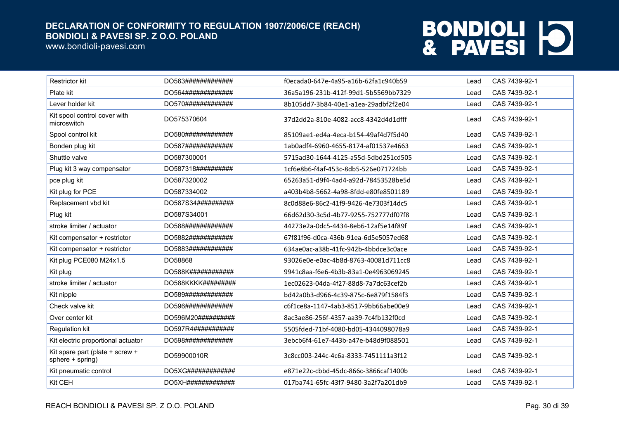www.bondioli-pavesi.com

| <b>Restrictor kit</b>                               | DO563############# | f0ecada0-647e-4a95-a16b-62fa1c940b59 | Lead | CAS 7439-92-1 |
|-----------------------------------------------------|--------------------|--------------------------------------|------|---------------|
| Plate kit                                           | DO564############# | 36a5a196-231b-412f-99d1-5b5569bb7329 | Lead | CAS 7439-92-1 |
| Lever holder kit                                    | DO570############# | 8b105dd7-3b84-40e1-a1ea-29adbf2f2e04 | Lead | CAS 7439-92-1 |
| Kit spool control cover with<br>microswitch         | DO575370604        | 37d2dd2a-810e-4082-acc8-4342d4d1dfff | Lead | CAS 7439-92-1 |
| Spool control kit                                   | DO580############# | 85109ae1-ed4a-4eca-b154-49af4d7f5d40 | Lead | CAS 7439-92-1 |
| Bonden plug kit                                     | DO587############# | 1ab0adf4-6960-4655-8174-af01537e4663 | Lead | CAS 7439-92-1 |
| Shuttle valve                                       | DO587300001        | 5715ad30-1644-4125-a55d-5dbd251cd505 | Lead | CAS 7439-92-1 |
| Plug kit 3 way compensator                          | DO587318########## | 1cf6e8b6-f4af-453c-8db5-526e071724bb | Lead | CAS 7439-92-1 |
| pce plug kit                                        | DO587320002        | 65263a51-d9f4-4ad4-a92d-78453528be5d | Lead | CAS 7439-92-1 |
| Kit plug for PCE                                    | DO587334002        | a403b4b8-5662-4a98-8fdd-e80fe8501189 | Lead | CAS 7439-92-1 |
| Replacement vbd kit                                 | DO587S34########## | 8c0d88e6-86c2-41f9-9426-4e7303f14dc5 | Lead | CAS 7439-92-1 |
| Plug kit                                            | DO587S34001        | 66d62d30-3c5d-4b77-9255-752777df07f8 | Lead | CAS 7439-92-1 |
| stroke limiter / actuator                           | DO588############# | 44273e2a-0dc5-4434-8eb6-12af5e14f89f | Lead | CAS 7439-92-1 |
| Kit compensator + restrictor                        | DO5882############ | 67f81f96-d0ca-436b-91ea-6d5e5057ed68 | Lead | CAS 7439-92-1 |
| Kit compensator + restrictor                        | DO5883############ | 634ae0ac-a38b-41fc-942b-4bbdce3c0ace | Lead | CAS 7439-92-1 |
| Kit plug PCE080 M24x1.5                             | DO58868            | 93026e0e-e0ac-4b8d-8763-40081d711cc8 | Lead | CAS 7439-92-1 |
| Kit plug                                            | DO588K############ | 9941c8aa-f6e6-4b3b-83a1-0e4963069245 | Lead | CAS 7439-92-1 |
| stroke limiter / actuator                           | DO588KKKK######### | 1ec02623-04da-4f27-88d8-7a7dc63cef2b | Lead | CAS 7439-92-1 |
| Kit nipple                                          | DO589############# | bd42a0b3-d966-4c39-875c-6e879f1584f3 | Lead | CAS 7439-92-1 |
| Check valve kit                                     | DO596############# | c6f1ce8a-1147-4ab3-8517-9bb66abe00e9 | Lead | CAS 7439-92-1 |
| Over center kit                                     | DO596M20########## | 8ac3ae86-256f-4357-aa39-7c4fb132f0cd | Lead | CAS 7439-92-1 |
| Regulation kit                                      | DO597R4########### | 5505fded-71bf-4080-bd05-4344098078a9 | Lead | CAS 7439-92-1 |
| Kit electric proportional actuator                  | DO598############# | 3ebcb6f4-61e7-443b-a47e-b48d9f088501 | Lead | CAS 7439-92-1 |
| Kit spare part (plate + screw +<br>sphere + spring) | DO59900010R        | 3c8cc003-244c-4c6a-8333-7451111a3f12 | Lead | CAS 7439-92-1 |
| Kit pneumatic control                               | DO5XG############# | e871e22c-cbbd-45dc-866c-3866caf1400b | Lead | CAS 7439-92-1 |
| Kit CEH                                             | DO5XH############# | 017ba741-65fc-43f7-9480-3a2f7a201db9 | Lead | CAS 7439-92-1 |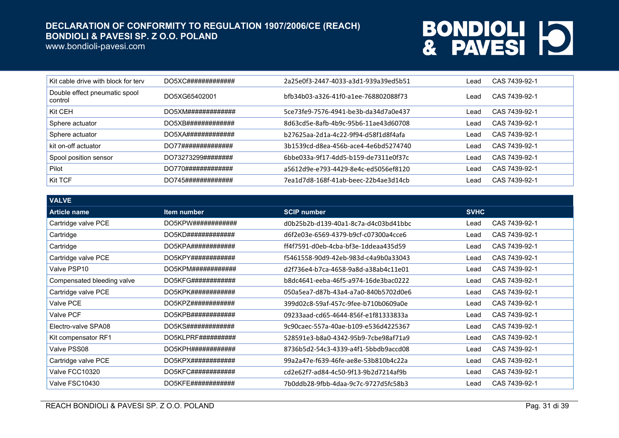www.bondioli-pavesi.com

| Kit cable drive with block for terv      | DO5XC############# | 2a25e0f3-2447-4033-a3d1-939a39ed5b51 | ∟ead | CAS 7439-92-1 |
|------------------------------------------|--------------------|--------------------------------------|------|---------------|
| Double effect pneumatic spool<br>control | DO5XG65402001      | hfb34b03-a326-41f0-a1ee-768802088f73 | _ead | CAS 7439-92-1 |
| Kit CEH                                  | DO5XM############# | 5ce73fe9-7576-4941-be3b-da34d7a0e437 | ∟ead | CAS 7439-92-1 |
| Sphere actuator                          | DO5XB############# | 8d63cd5e-8afb-4b9c-95b6-11ae43d60708 | Lead | CAS 7439-92-1 |
| Sphere actuator                          | DO5XA############# | b27625aa-2d1a-4c22-9f94-d58f1d8f4afa | Lead | CAS 7439-92-1 |
| kit on-off actuator                      | DO77############## | 3b1539cd-d8ea-456b-ace4-4e6bd5274740 | Lead | CAS 7439-92-1 |
| Spool position sensor                    | DO73273299######## | 6bbe033a-9f17-4dd5-b159-de7311e0f37c | _ead | CAS 7439-92-1 |
| Pilot                                    | DO770############# | a5612d9e-e793-4429-8e4c-ed5056ef8120 | Lead | CAS 7439-92-1 |
| Kit TCF                                  | DO745############# | 7ea1d7d8-168f-41ab-beec-22b4ae3d14cb | _ead | CAS 7439-92-1 |

| <b>VALVE</b>               |                        |                                      |             |               |
|----------------------------|------------------------|--------------------------------------|-------------|---------------|
| <b>Article name</b>        | Item number            | <b>SCIP number</b>                   | <b>SVHC</b> |               |
| Cartridge valve PCE        | DO5KPW############     | d0b25b2b-d139-40a1-8c7a-d4c03bd41bbc | Lead        | CAS 7439-92-1 |
| Cartridge                  | DO5KD#############     | d6f2e03e-6569-4379-b9cf-c07300a4cce6 | Lead        | CAS 7439-92-1 |
| Cartridge                  | DO5KPA############     | ff4f7591-d0eb-4cba-bf3e-1ddeaa435d59 | Lead        | CAS 7439-92-1 |
| Cartridge valve PCE        | DO5KPY############     | f5461558-90d9-42eb-983d-c4a9b0a33043 | Lead        | CAS 7439-92-1 |
| Valve PSP10                | DO5KPM############     | d2f736e4-b7ca-4658-9a8d-a38ab4c11e01 | Lead        | CAS 7439-92-1 |
| Compensated bleeding valve | DO5KFG############     | b8dc4641-eeba-46f5-a974-16de3bac0222 | Lead        | CAS 7439-92-1 |
| Cartridge valve PCE        | DO5KPK############     | 050a5ea7-d87b-43a4-a7a0-840b5702d0e6 | Lead        | CAS 7439-92-1 |
| Valve PCE                  | $DO5KPZ$ ############# | 399d02c8-59af-457c-9fee-b710b0609a0e | Lead        | CAS 7439-92-1 |
| <b>Valve PCF</b>           | DO5KPB############     | 09233aad-cd65-4644-856f-e1f81333833a | Lead        | CAS 7439-92-1 |
| Electro-valve SPA08        | DO5KS#############     | 9c90caec-557a-40ae-b109-e536d4225367 | Lead        | CAS 7439-92-1 |
| Kit compensator RF1        | DO5KLPRF##########     | 528591e3-b8a0-4342-95b9-7cbe98af71a9 | Lead        | CAS 7439-92-1 |
| Valve PSS08                | DO5KPH############     | 8736b5d2-54c3-4339-a4f1-5bbdb9accd08 | Lead        | CAS 7439-92-1 |
| Cartridge valve PCE        |                        | 99a2a47e-f639-46fe-ae8e-53b810b4c22a | Lead        | CAS 7439-92-1 |
| Valve FCC10320             | DO5KFC############     | cd2e62f7-ad84-4c50-9f13-9b2d7214af9b | Lead        | CAS 7439-92-1 |
| Valve FSC10430             | DO5KFE############     | 7b0ddb28-9fbb-4daa-9c7c-9727d5fc58b3 | Lead        | CAS 7439-92-1 |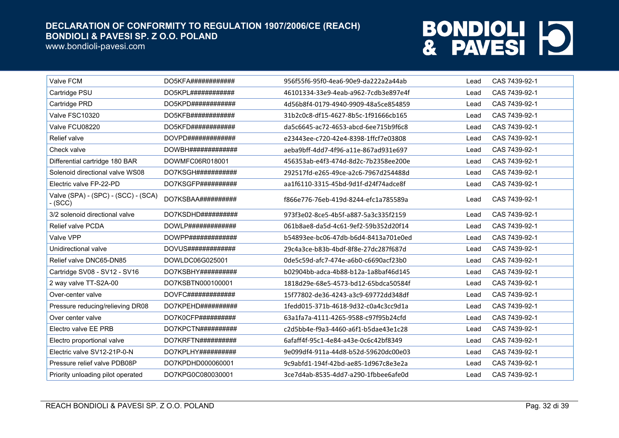www.bondioli-pavesi.com

| Valve FCM                                      | DO5KFA############         | 956f55f6-95f0-4ea6-90e9-da222a2a44ab | Lead | CAS 7439-92-1 |
|------------------------------------------------|----------------------------|--------------------------------------|------|---------------|
| Cartridge PSU                                  | DO5KPL############         | 46101334-33e9-4eab-a962-7cdb3e897e4f | Lead | CAS 7439-92-1 |
| Cartridge PRD                                  | DO5KPD############         | 4d56b8f4-0179-4940-9909-48a5ce854859 | Lead | CAS 7439-92-1 |
| Valve FSC10320                                 | DO5KFB############         | 31b2c0c8-df15-4627-8b5c-1f91666cb165 | Lead | CAS 7439-92-1 |
| Valve FCU08220                                 | DO5KFD############         | da5c6645-ac72-4653-abcd-6ee715b9f6c8 | Lead | CAS 7439-92-1 |
| Relief valve                                   | DOVPD#############         | e23443ee-c720-42e4-8398-1ffcf7e03808 | Lead | CAS 7439-92-1 |
| Check valve                                    | DOWBHH#H#H#H#H#H#H#        | aeba9bff-4dd7-4f96-a11e-867ad931e697 | Lead | CAS 7439-92-1 |
| Differential cartridge 180 BAR                 | DOWMFC06R018001            | 456353ab-e4f3-474d-8d2c-7b2358ee200e | Lead | CAS 7439-92-1 |
| Solenoid directional valve WS08                | DO7KSGH###########         | 292517fd-e265-49ce-a2c6-7967d254488d | Lead | CAS 7439-92-1 |
| Electric valve FP-22-PD                        | DO7KSGFP##########         | aa1f6110-3315-45bd-9d1f-d24f74adce8f | Lead | CAS 7439-92-1 |
| Valve (SPA) - (SPC) - (SCC) - (SCA)<br>- (SCC) | DO7KSBAA##########         | f866e776-76eb-419d-8244-efc1a785589a | Lead | CAS 7439-92-1 |
| 3/2 solenoid directional valve                 | DO7KSDHD##########         | 973f3e02-8ce5-4b5f-a887-5a3c335f2159 | Lead | CAS 7439-92-1 |
| <b>Relief valve PCDA</b>                       | DOWLP#############         | 061b8ae8-da5d-4c61-9ef2-59b352d20f14 | Lead | CAS 7439-92-1 |
| Valve VPP                                      | DOWPP#############         | b54893ee-bc06-47db-b6d4-8413a701e0ed | Lead | CAS 7439-92-1 |
| Unidirectional valve                           | <b>DOVUS##############</b> | 29c4a3ce-b83b-4bdf-8f8e-27dc287f687d | Lead | CAS 7439-92-1 |
| Relief valve DNC65-DN85                        | DOWLDC06G025001            | 0de5c59d-afc7-474e-a6b0-c6690acf23b0 | Lead | CAS 7439-92-1 |
| Cartridge SV08 - SV12 - SV16                   | DO7KSBHY##########         | b02904bb-adca-4b88-b12a-1a8baf46d145 | Lead | CAS 7439-92-1 |
| 2 way valve TT-S2A-00                          | DO7KSBTN000100001          | 1818d29e-68e5-4573-bd12-65bdca50584f | Lead | CAS 7439-92-1 |
| Over-center valve                              | DOVFC#############         | 15f77802-de36-4243-a3c9-69772dd348df | Lead | CAS 7439-92-1 |
| Pressure reducing/relieving DR08               | DO7KPEHD##########         | 1fedd015-371b-4618-9d32-c0a4c3cc9d1a | Lead | CAS 7439-92-1 |
| Over center valve                              | DO7K0CFP##########         | 63a1fa7a-4111-4265-9588-c97f95b24cfd | Lead | CAS 7439-92-1 |
| Electro valve EE PRB                           | DO7KPCTN##########         | c2d5bb4e-f9a3-4460-a6f1-b5dae43e1c28 | Lead | CAS 7439-92-1 |
| Electro proportional valve                     | DO7KRFTN##########         | 6afaff4f-95c1-4e84-a43e-0c6c42bf8349 | Lead | CAS 7439-92-1 |
| Electric valve SV12-21P-0-N                    | DO7KPLHY##########         | 9e099df4-911a-44d8-b52d-59620dc00e03 | Lead | CAS 7439-92-1 |
| Pressure relief valve PDB08P                   | DO7KPDHD000060001          | 9c9abfd1-194f-42bd-ae85-1d967c8e3e2a | Lead | CAS 7439-92-1 |
| Priority unloading pilot operated              | DO7KPG0C080030001          | 3ce7d4ab-8535-4dd7-a290-1fbbee6afe0d | Lead | CAS 7439-92-1 |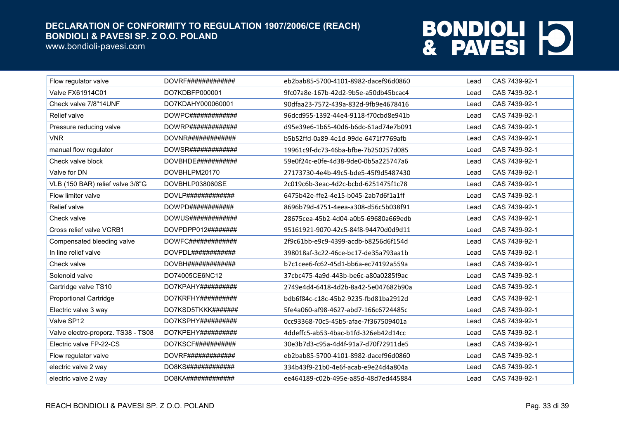www.bondioli-pavesi.com

| Flow regulator valve               | <b>DOVRF#############</b> | eb2bab85-5700-4101-8982-dacef96d0860 | Lead | CAS 7439-92-1 |
|------------------------------------|---------------------------|--------------------------------------|------|---------------|
| <b>Valve FX61914C01</b>            | DO7KDBFP000001            | 9fc07a8e-167b-42d2-9b5e-a50db45bcac4 | Lead | CAS 7439-92-1 |
| Check valve 7/8"14UNF              | DO7KDAHY000060001         | 90dfaa23-7572-439a-832d-9fb9e4678416 | Lead | CAS 7439-92-1 |
| Relief valve                       |                           | 96dcd955-1392-44e4-9118-f70cbd8e941b | Lead | CAS 7439-92-1 |
| Pressure reducing valve            | DOWRP#############        | d95e39e6-1b65-40d6-b6dc-61ad74e7b091 | Lead | CAS 7439-92-1 |
| <b>VNR</b>                         | DOVNR#############        | b5b52ffd-0a89-4e1d-99de-6471f7769afb | Lead | CAS 7439-92-1 |
| manual flow regulator              | DOWSR#############        | 19961c9f-dc73-46ba-bfbe-7b250257d085 | Lead | CAS 7439-92-1 |
| Check valve block                  | DOVBHDE###########        | 59e0f24c-e0fe-4d38-9de0-0b5a225747a6 | Lead | CAS 7439-92-1 |
| Valve for DN                       | DOVBHLPM20170             | 27173730-4e4b-49c5-bde5-45f9d5487430 | Lead | CAS 7439-92-1 |
| VLB (150 BAR) relief valve 3/8"G   | DOVBHLP038060SE           | 2c019c6b-3eac-4d2c-bcbd-6251475f1c78 | Lead | CAS 7439-92-1 |
| Flow limiter valve                 | DOVLP#############        | 6475b42e-ffe2-4e15-b045-2ab7d6f1a1ff | Lead | CAS 7439-92-1 |
| Relief valve                       | DOWPD############         | 8696b79d-4751-4eea-a308-d56c5b038f91 | Lead | CAS 7439-92-1 |
| Check valve                        | DOWUS#############        | 28675cea-45b2-4d04-a0b5-69680a669edb | Lead | CAS 7439-92-1 |
| Cross relief valve VCRB1           | DOVPDPP012########        | 95161921-9070-42c5-84f8-94470d0d9d11 | Lead | CAS 7439-92-1 |
| Compensated bleeding valve         | DOWFC#############        | 2f9c61bb-e9c9-4399-acdb-b8256d6f154d | Lead | CAS 7439-92-1 |
| In line relief valve               | DOVPDL############        | 398018af-3c22-46ce-bc17-de35a793aa1b | Lead | CAS 7439-92-1 |
| Check valve                        | DOVBH#HHHHHHHHHHHH        | b7c1cee6-fc62-45d1-bb6a-ec74192a559a | Lead | CAS 7439-92-1 |
| Solenoid valve                     | DO74005CE6NC12            | 37cbc475-4a9d-443b-be6c-a80a0285f9ac | Lead | CAS 7439-92-1 |
| Cartridge valve TS10               | DO7KPAHY##########        | 2749e4d4-6418-4d2b-8a42-5e047682b90a | Lead | CAS 7439-92-1 |
| <b>Proportional Cartridge</b>      | DO7KRFHY##########        | bdb6f84c-c18c-45b2-9235-fbd81ba2912d | Lead | CAS 7439-92-1 |
| Electric valve 3 way               | DO7KSD5TKKK#######        | 5fe4a060-af98-4627-abd7-166c6724485c | Lead | CAS 7439-92-1 |
| Valve SP12                         | DO7KSPHY##########        | 0cc93368-70c5-45b5-afae-7f367509401a | Lead | CAS 7439-92-1 |
| Valve electro-proporz. TS38 - TS08 | DO7KPEHY##########        | 4ddeffc5-ab53-4bac-b1fd-326eb42d14cc | Lead | CAS 7439-92-1 |
| Electric valve FP-22-CS            | DO7KSCF###########        | 30e3b7d3-c95a-4d4f-91a7-d70f72911de5 | Lead | CAS 7439-92-1 |
| Flow regulator valve               | DOVRF#############        | eb2bab85-5700-4101-8982-dacef96d0860 | Lead | CAS 7439-92-1 |
| electric valve 2 way               | DO8KS#############        | 334b43f9-21b0-4e6f-acab-e9e24d4a804a | Lead | CAS 7439-92-1 |
| electric valve 2 way               | DO8KA#############        | ee464189-c02b-495e-a85d-48d7ed445884 | Lead | CAS 7439-92-1 |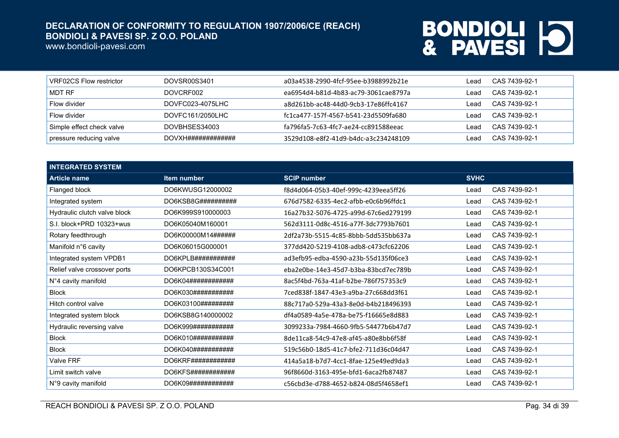www.bondioli-pavesi.com

| VRF02CS Flow restrictor   | DOVSR00S3401       | a03a4538-2990-4fcf-95ee-b3988992b21e | ead  | CAS 7439-92-1 |
|---------------------------|--------------------|--------------------------------------|------|---------------|
| I MDT RF                  | DOVCRF002          | ea6954d4-b81d-4b83-ac79-3061cae8797a | _ead | CAS 7439-92-1 |
| Flow divider              | DOVFC023-4075LHC   | a8d261bb-ac48-44d0-9cb3-17e86ffc4167 | ead  | CAS 7439-92-1 |
| Flow divider              | DOVFC161/2050LHC   | fc1ca477-157f-4567-b541-23d5509fa680 | _ead | CAS 7439-92-1 |
| Simple effect check valve | DOVBHSES34003      | fa796fa5-7c63-4fc7-ae24-cc891588eeac | _ead | CAS 7439-92-1 |
| pressure reducing valve   | DOVXH############# | 3529d108-e8f2-41d9-b4dc-a3c234248109 | _ead | CAS 7439-92-1 |

| <b>INTEGRATED SYSTEM</b>     |                     |                                      |             |               |
|------------------------------|---------------------|--------------------------------------|-------------|---------------|
| <b>Article name</b>          | Item number         | <b>SCIP number</b>                   | <b>SVHC</b> |               |
| Flanged block                | DO6KWUSG12000002    | f8d4d064-05b3-40ef-999c-4239eea5ff26 | Lead        | CAS 7439-92-1 |
| Integrated system            | DO6KSB8G##########  | 676d7582-6335-4ec2-afbb-e0c6b96ffdc1 | Lead        | CAS 7439-92-1 |
| Hydraulic clutch valve block | DO6K999S910000003   | 16a27b32-5076-4725-a99d-67c6ed279199 | Lead        | CAS 7439-92-1 |
| S.I. block+PRD 10323+wus     | DO6K05040M160001    | 562d3111-0d8c-4516-a77f-3dc7793b7601 | Lead        | CAS 7439-92-1 |
| Rotary feedthrough           | DO6K00000M14######  | 2df2a73b-5515-4c85-8bbb-5dd535bb637a | Lead        | CAS 7439-92-1 |
| Manifold n°6 cavity          | DO6K06015G000001    | 377dd420-5219-4108-adb8-c473cfc62206 | Lead        | CAS 7439-92-1 |
| Integrated system VPDB1      | DO6KPLB###########  | ad3efb95-edba-4590-a23b-55d135f06ce3 | Lead        | CAS 7439-92-1 |
| Relief valve crossover ports | DO6KPCB130S34C001   | eba2e0be-14e3-45d7-b3ba-83bcd7ec789b | Lead        | CAS 7439-92-1 |
| N°4 cavity manifold          | DO6K04############  | 8ac5f4bd-763a-41af-b2be-786f757353c9 | Lead        | CAS 7439-92-1 |
| <b>Block</b>                 | DO6K030############ | 7ced838f-1847-43e3-a9ba-27c668dd3f61 | Lead        | CAS 7439-92-1 |
| Hitch control valve          | DO6K03100#########  | 88c717a0-529a-43a3-8e0d-b4b218496393 | Lead        | CAS 7439-92-1 |
| Integrated system block      | DO6KSB8G140000002   | df4a0589-4a5e-478a-be75-f16665e8d883 | Lead        | CAS 7439-92-1 |
| Hydraulic reversing valve    | DO6K999###########  | 3099233a-7984-4660-9fb5-54477b6b47d7 | Lead        | CAS 7439-92-1 |
| <b>Block</b>                 | DO6K010###########  | 8de11ca8-54c9-47e8-af45-a80e8bb6f58f | Lead        | CAS 7439-92-1 |
| <b>Block</b>                 | DO6K040###########  | 519c56b0-18d5-41c7-bfe2-711d36c04d47 | Lead        | CAS 7439-92-1 |
| Valve FRF                    | DO6KRF############  | 414a5a18-b7d7-4cc1-8fae-125e49ed9da3 | Lead        | CAS 7439-92-1 |
| Limit switch valve           | DO6KFS############  | 96f8660d-3163-495e-bfd1-6aca2fb87487 | Lead        | CAS 7439-92-1 |
| N°9 cavity manifold          | DO6K09############# | c56cbd3e-d788-4652-b824-08d5f4658ef1 | Lead        | CAS 7439-92-1 |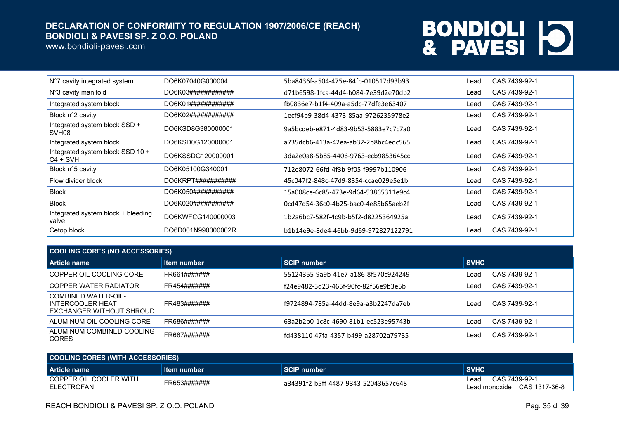www.bondioli-pavesi.com

| N°7 cavity integrated system                       | DO6K07040G000004   | 5ba8436f-a504-475e-84fb-010517d93b93 | Lead | CAS 7439-92-1 |
|----------------------------------------------------|--------------------|--------------------------------------|------|---------------|
| N°3 cavity manifold                                | DO6K03############ | d71b6598-1fca-44d4-b084-7e39d2e70db2 | Lead | CAS 7439-92-1 |
| Integrated system block                            | DO6K01############ | fb0836e7-b1f4-409a-a5dc-77dfe3e63407 | Lead | CAS 7439-92-1 |
| Block n°2 cavity                                   | DO6K02############ | 1ecf94b9-38d4-4373-85aa-9726235978e2 | Lead | CAS 7439-92-1 |
| Integrated system block SSD +<br>SVH <sub>08</sub> | DO6KSD8G380000001  | 9a5bcdeb-e871-4d83-9b53-5883e7c7c7a0 | Lead | CAS 7439-92-1 |
| Integrated system block                            | DO6KSD0G120000001  | a735dcb6-413a-42ea-ab32-2b8bc4edc565 | Lead | CAS 7439-92-1 |
| Integrated system block SSD 10 +<br>$C4 + SVH$     | DO6KSSDG120000001  | 3da2e0a8-5b85-4406-9763-ecb9853645cc | Lead | CAS 7439-92-1 |
| Block n°5 cavity                                   | DO6K05100G340001   | 712e8072-66fd-4f3b-9f05-f9997b110906 | Lead | CAS 7439-92-1 |
| Flow divider block                                 | DO6KRPT########### | 45c047f2-848c-47d9-8354-ccae029e5e1b | Lead | CAS 7439-92-1 |
| <b>Block</b>                                       | DO6K050########### | 15a008ce-6c85-473e-9d64-53865311e9c4 | Lead | CAS 7439-92-1 |
| <b>Block</b>                                       | DO6K020########### | 0cd47d54-36c0-4b25-bac0-4e85b65aeb2f | Lead | CAS 7439-92-1 |
| Integrated system block + bleeding<br>valve        | DO6KWFCG140000003  | 1b2a6bc7-582f-4c9b-b5f2-d8225364925a | Lead | CAS 7439-92-1 |
| Cetop block                                        | DO6D001N990000002R | b1b14e9e-8de4-46bb-9d69-972827122791 | Lead | CAS 7439-92-1 |

| <b>COOLING CORES (NO ACCESSORIES)</b>                               |              |                                      |                       |  |
|---------------------------------------------------------------------|--------------|--------------------------------------|-----------------------|--|
| Article name                                                        | Item number  | <b>SCIP number</b>                   | <b>SVHC</b>           |  |
| COPPER OIL COOLING CORE                                             | FR661####### | 55124355-9a9b-41e7-a186-8f570c924249 | CAS 7439-92-1<br>Lead |  |
| COPPER WATER RADIATOR                                               | FR454####### | f24e9482-3d23-465f-90fc-82f56e9b3e5b | CAS 7439-92-1<br>Lead |  |
| COMBINED WATER-OIL-<br>INTERCOOLER HEAT<br>EXCHANGER WITHOUT SHROUD | FR483####### | f9724894-785a-44dd-8e9a-a3b2247da7eb | CAS 7439-92-1<br>Lead |  |
| ALUMINUM OIL COOLING CORE                                           | FR686####### | 63a2b2b0-1c8c-4690-81b1-ec523e95743b | CAS 7439-92-1<br>Lead |  |
| ALUMINUM COMBINED COOLING<br><b>CORES</b>                           | FR687####### | fd438110-47fa-4357-b499-a28702a79735 | CAS 7439-92-1<br>Lead |  |

| COOLING CORES (WITH ACCESSORIES)             |              |                                      |                                                      |  |
|----------------------------------------------|--------------|--------------------------------------|------------------------------------------------------|--|
| l Article name                               | Item number  | <b>SCIP number</b>                   | <b>SVHC</b>                                          |  |
| COPPER OIL COOLER WITH<br><b>LELECTROFAN</b> | FR653####### | a34391f2-b5ff-4487-9343-52043657c648 | CAS 7439-92-1<br>∟ead<br>Lead monoxide CAS 1317-36-8 |  |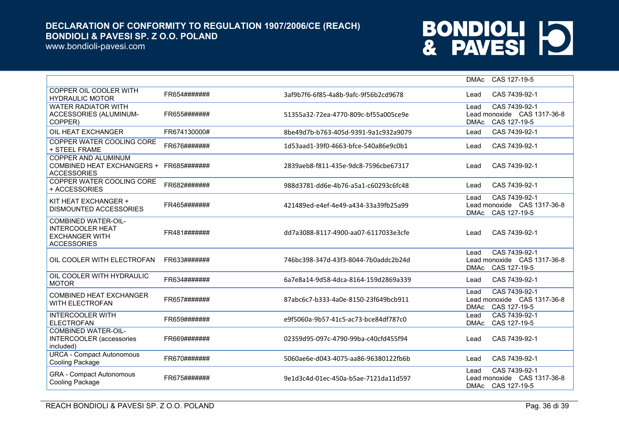www.bondioli-pavesi.com

|                                                                                                      |              |                                      | CAS 127-19-5<br><b>DMAc</b>                                                          |
|------------------------------------------------------------------------------------------------------|--------------|--------------------------------------|--------------------------------------------------------------------------------------|
| COPPER OIL COOLER WITH<br><b>HYDRAULIC MOTOR</b>                                                     | FR654####### | 3af9b7f6-6f85-4a8b-9afc-9f56b2cd9678 | CAS 7439-92-1<br>Lead                                                                |
| <b>WATER RADIATOR WITH</b><br>ACCESSORIES (ALUMINUM-<br>COPPER)                                      | FR655####### | 51355a32-72ea-4770-809c-bf55a005ce9e | CAS 7439-92-1<br>Lead<br>Lead monoxide CAS 1317-36-8<br>CAS 127-19-5<br><b>DMAc</b>  |
| OIL HEAT EXCHANGER                                                                                   | FR674130000# | 8be49d7b-b763-405d-9391-9a1c932a9079 | CAS 7439-92-1<br>Lead                                                                |
| COPPER WATER COOLING CORE<br>+ STEEL FRAME                                                           | FR676####### | 1d53aad1-39f0-4663-bfce-540a86e9c0b1 | CAS 7439-92-1<br>Lead                                                                |
| COPPER AND ALUMINUM<br>COMBINED HEAT EXCHANGERS +<br><b>ACCESSORIES</b>                              | FR685####### | 2839aeb8-f811-435e-9dc8-7596cbe67317 | CAS 7439-92-1<br>Lead                                                                |
| COPPER WATER COOLING CORE<br>+ ACCESSORIES                                                           | FR682####### | 988d3781-dd6e-4b76-a5a1-c60293c6fc48 | CAS 7439-92-1<br>Lead                                                                |
| KIT HEAT EXCHANGER +<br>DISMOUNTED ACCESSORIES                                                       | FR465####### | 421489ed-e4ef-4e49-a434-33a39fb25a99 | CAS 7439-92-1<br>Lead<br>Lead monoxide CAS 1317-36-8<br>CAS 127-19-5<br><b>DMAc</b>  |
| <b>COMBINED WATER-OIL-</b><br><b>INTERCOOLER HEAT</b><br><b>EXCHANGER WITH</b><br><b>ACCESSORIES</b> | FR481####### | dd7a3088-8117-4900-aa07-6117033e3cfe | CAS 7439-92-1<br>Lead                                                                |
| OIL COOLER WITH ELECTROFAN                                                                           | FR633####### | 746bc398-347d-43f3-8044-7b0addc2b24d | CAS 7439-92-1<br>l ead<br>Lead monoxide CAS 1317-36-8<br><b>DMAc</b><br>CAS 127-19-5 |
| OIL COOLER WITH HYDRAULIC<br><b>MOTOR</b>                                                            | FR634####### | 6a7e8a14-9d58-4dca-8164-159d2869a339 | CAS 7439-92-1<br>Lead                                                                |
| COMBINED HEAT EXCHANGER<br><b>WITH ELECTROFAN</b>                                                    | FR657####### | 87abc6c7-b333-4a0e-8150-23f649bcb911 | CAS 7439-92-1<br>l ead<br>Lead monoxide CAS 1317-36-8<br>CAS 127-19-5<br><b>DMAc</b> |
| <b>INTERCOOLER WITH</b><br><b>ELECTROFAN</b>                                                         | FR659####### | e9f5060a-9b57-41c5-ac73-bce84df787c0 | CAS 7439-92-1<br>Lead<br><b>DMAc</b><br>CAS 127-19-5                                 |
| <b>COMBINED WATER-OIL-</b><br><b>INTERCOOLER</b> (accessories<br>included)                           | FR669####### | 02359d95-097c-4790-99ba-c40cfd455f94 | CAS 7439-92-1<br>Lead                                                                |
| <b>URCA - Compact Autonomous</b><br>Cooling Package                                                  | FR670####### | 5060ae6e-d043-4075-aa86-96380122fb6b | CAS 7439-92-1<br>Lead                                                                |
| <b>GRA - Compact Autonomous</b><br>Cooling Package                                                   | FR675####### | 9e1d3c4d-01ec-450a-b5ae-7121da11d597 | CAS 7439-92-1<br>Lead<br>Lead monoxide CAS 1317-36-8<br>CAS 127-19-5<br><b>DMAc</b>  |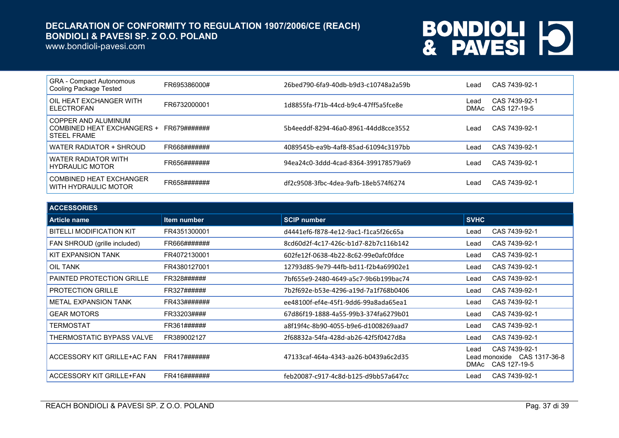www.bondioli-pavesi.com

| <b>GRA - Compact Autonomous</b><br>Cooling Package Tested               | FR695386000# | 26bed790-6fa9-40db-b9d3-c10748a2a59b | Lead         | CAS 7439-92-1                 |
|-------------------------------------------------------------------------|--------------|--------------------------------------|--------------|-------------------------------|
| OIL HEAT EXCHANGER WITH<br><b>ELECTROFAN</b>                            | FR6732000001 | 1d8855fa-f71b-44cd-b9c4-47ff5a5fce8e | Lead<br>DMAc | CAS 7439-92-1<br>CAS 127-19-5 |
| COPPER AND ALUMINUM<br>COMBINED HEAT EXCHANGERS +<br><b>STEEL FRAME</b> | FR679####### | 5b4eeddf-8294-46a0-8961-44dd8cce3552 | Lead         | CAS 7439-92-1                 |
| WATER RADIATOR + SHROUD                                                 | FR668####### | 4089545b-ea9b-4af8-85ad-61094c3197bb | Lead         | CAS 7439-92-1                 |
| WATER RADIATOR WITH<br><b>HYDRAULIC MOTOR</b>                           | FR656####### | 94ea24c0-3ddd-4cad-8364-399178579a69 | Lead         | CAS 7439-92-1                 |
| COMBINED HEAT EXCHANGER<br>WITH HYDRAULIC MOTOR                         | FR658####### | df2c9508-3fbc-4dea-9afb-18eb574f6274 | Lead         | CAS 7439-92-1                 |

| <b>ACCESSORIES</b>              |                    |                                      |                                                                                      |  |
|---------------------------------|--------------------|--------------------------------------|--------------------------------------------------------------------------------------|--|
| <b>Article name</b>             | <b>Item number</b> | <b>SCIP number</b>                   | <b>SVHC</b>                                                                          |  |
| <b>BITELLI MODIFICATION KIT</b> | FR4351300001       | d4441ef6-f878-4e12-9ac1-f1ca5f26c65a | CAS 7439-92-1<br>Lead                                                                |  |
| FAN SHROUD (grille included)    | FR666#######       | 8cd60d2f-4c17-426c-b1d7-82b7c116b142 | CAS 7439-92-1<br>Lead                                                                |  |
| <b>KIT EXPANSION TANK</b>       | FR4072130001       | 602fe12f-0638-4b22-8c62-99e0afc0fdce | CAS 7439-92-1<br>Lead                                                                |  |
| OIL TANK                        | FR4380127001       | 12793d85-9e79-44fb-bd11-f2b4a69902e1 | CAS 7439-92-1<br>Lead                                                                |  |
| PAINTED PROTECTION GRILLE       | FR328######        | 7bf655e9-2480-4649-a5c7-9b6b199bac74 | CAS 7439-92-1<br>Lead                                                                |  |
| <b>PROTECTION GRILLE</b>        | FR327######        | 7b2f692e-b53e-4296-a19d-7a1f768b0406 | CAS 7439-92-1<br>Lead                                                                |  |
| <b>METAL EXPANSION TANK</b>     | FR433#######       | ee48100f-ef4e-45f1-9dd6-99a8ada65ea1 | CAS 7439-92-1<br>Lead                                                                |  |
| <b>GEAR MOTORS</b>              | FR33203####        | 67d86f19-1888-4a55-99b3-374fa6279b01 | CAS 7439-92-1<br>Lead                                                                |  |
| TERMOSTAT                       | FR361######        | a8f19f4c-8b90-4055-b9e6-d1008269aad7 | CAS 7439-92-1<br>Lead                                                                |  |
| THERMOSTATIC BYPASS VALVE       | FR389002127        | 2f68832a-54fa-428d-ab26-42f5f0427d8a | CAS 7439-92-1<br>Lead                                                                |  |
| ACCESSORY KIT GRILLE+AC FAN     | FR417#######       | 47133caf-464a-4343-aa26-b0439a6c2d35 | CAS 7439-92-1<br>Lead<br>Lead monoxide  CAS 1317-36-8<br>CAS 127-19-5<br><b>DMAc</b> |  |
| ACCESSORY KIT GRILLE+FAN        | FR416#######       | feb20087-c917-4c8d-b125-d9bb57a647cc | CAS 7439-92-1<br>Lead                                                                |  |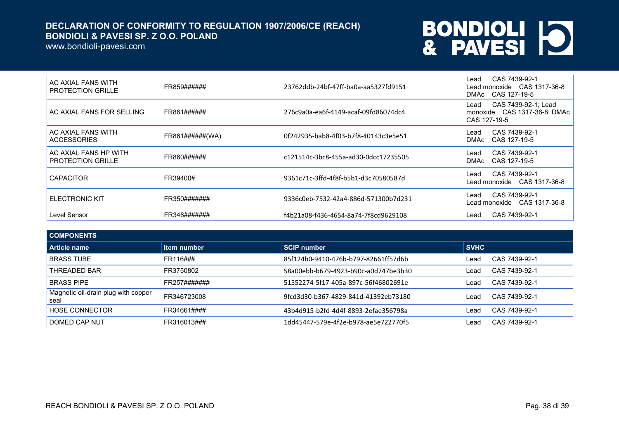www.bondioli-pavesi.com

| AC AXIAL FANS WITH<br><b>PROTECTION GRILLE</b>    | FR859######     | 23762ddb-24bf-47ff-ba0a-aa5327fd9151 | CAS 7439-92-1<br>∟ead<br>Lead monoxide CAS 1317-36-8<br>DMAc CAS 127-19-5   |
|---------------------------------------------------|-----------------|--------------------------------------|-----------------------------------------------------------------------------|
| AC AXIAL FANS FOR SELLING                         | FR861######     | 276c9a0a-ea6f-4149-acaf-09fd86074dc4 | CAS 7439-92-1; Lead<br>Lead<br>monoxide CAS 1317-36-8; DMAc<br>CAS 127-19-5 |
| AC AXIAL FANS WITH<br><b>ACCESSORIES</b>          | FR861######(WA) | 0f242935-bab8-4f03-b7f8-40143c3e5e51 | CAS 7439-92-1<br>∟ead<br>CAS 127-19-5<br>DMAc                               |
| AC AXIAL FANS HP WITH<br><b>PROTECTION GRILLE</b> | FR860######     | c121514c-3bc8-455a-ad30-0dcc17235505 | CAS 7439-92-1<br>∟ead<br>CAS 127-19-5<br><b>DMAc</b>                        |
| <b>CAPACITOR</b>                                  | FR39400#        | 9361c71c-3ffd-4f8f-b5b1-d3c70580587d | CAS 7439-92-1<br>∟ead                                                       |
| <b>ELECTRONIC KIT</b>                             | FR350#######    | 9336c0eb-7532-42a4-886d-571300b7d231 | CAS 7439-92-1<br>∟ead<br>Lead monoxide  CAS 1317-36-8                       |
| Level Sensor                                      | FR348#######    | f4b21a08-f436-4654-8a74-7f8cd9629108 | CAS 7439-92-1<br>Lead                                                       |

| <b>COMPONENTS</b>                           |              |                                      |             |               |
|---------------------------------------------|--------------|--------------------------------------|-------------|---------------|
| Article name                                | Item number  | <b>SCIP number</b>                   | <b>SVHC</b> |               |
| <b>BRASS TUBE</b>                           | FR116###     | 85f124b0-9410-476b-b797-82661ff57d6b | Lead        | CAS 7439-92-1 |
| THREADED BAR                                | FR3750802    | 58a00ebb-b679-4923-b90c-a0d747be3b30 | Lead        | CAS 7439-92-1 |
| <b>BRASS PIPE</b>                           | FR257####### | 51552274-5f17-405a-897c-56f46802691e | Lead        | CAS 7439-92-1 |
| Magnetic oil-drain plug with copper<br>seal | FR346723008  | 9fcd3d30-b367-4829-841d-41392eb73180 | Lead        | CAS 7439-92-1 |
| <b>HOSE CONNECTOR</b>                       | FR34661####  | 43b4d915-b2fd-4d4f-8893-2efae356798a | Lead        | CAS 7439-92-1 |
| DOMED CAP NUT                               | FR316013###  | 1dd45447-579e-4f2e-b978-ae5e722770f5 | Lead        | CAS 7439-92-1 |